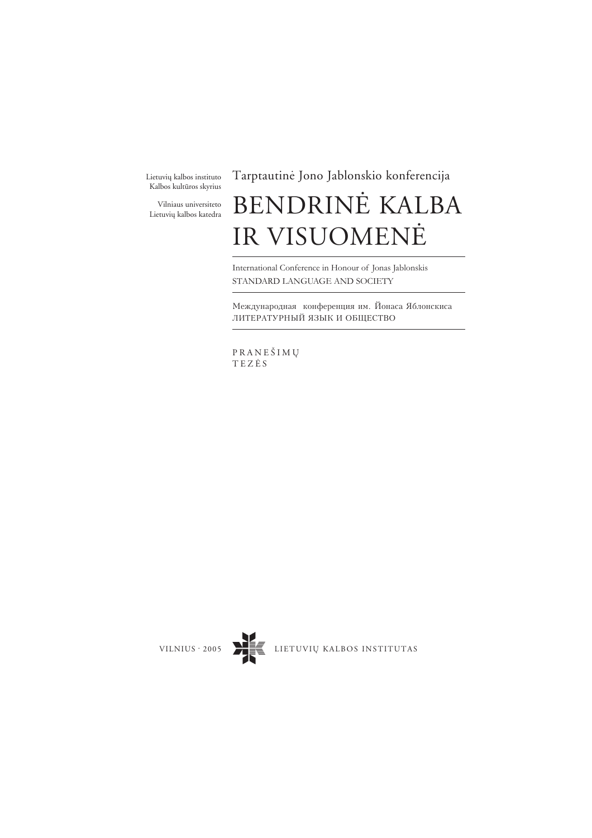Lietuvių kalbos instituto Kalbos kultûros skyrius

Vilniaus universiteto Lietuvių kalbos katedra

## Tarptautinë Jono Jablonskio konferencija

# BENDRINË KALBA IR VISUOMENË

International Conference in Honour of Jonas Jablonskis STANDARD LANGUAGE AND SOCIETY

Международная конференция им. Йонаса Яблонскиса ЛИТЕРАТУРНЫЙ ЯЗЫК И ОБЩЕСТВО

PRANEÐIMØ TEZËS

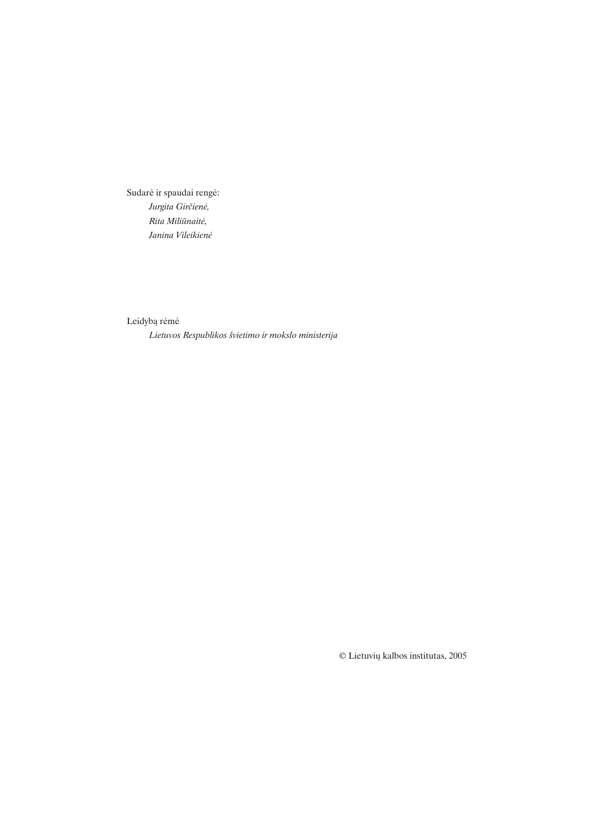Sudarë ir spaudai rengë: Jurgita Girčienė, Rita Miliûnaitë, Janina Vileikienë

Leidybà rëmë

Lietuvos Respublikos ðvietimo ir mokslo ministerija

© Lietuviø kalbos institutas, 2005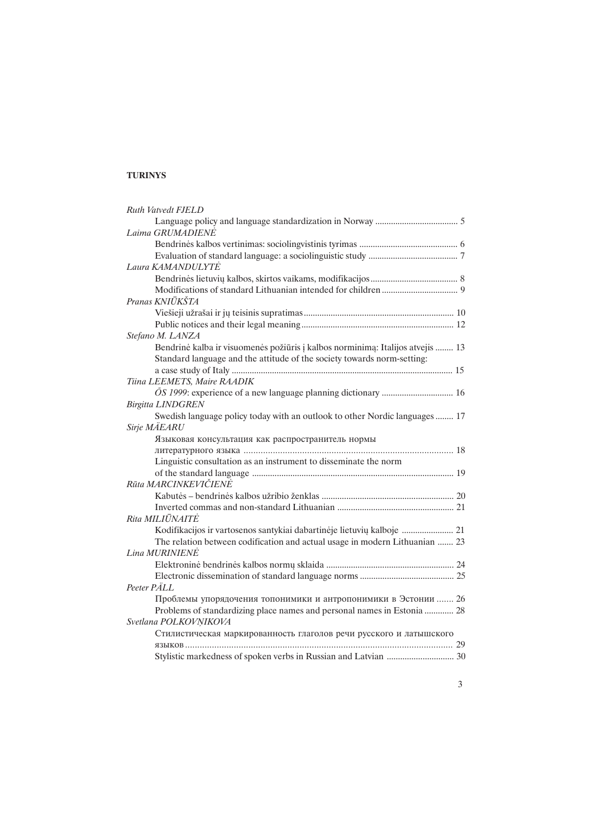## TURINYS

| <b>Ruth Vatvedt FJELD</b>                                                      |
|--------------------------------------------------------------------------------|
| Laima GRUMADIENE                                                               |
|                                                                                |
|                                                                                |
| Laura KAMANDULYTĖ                                                              |
|                                                                                |
|                                                                                |
| Pranas KNIŪKŠTA                                                                |
|                                                                                |
|                                                                                |
| Stefano M. LANZA                                                               |
| Bendrinė kalba ir visuomenės požiūris į kalbos norminimą: Italijos atvejis  13 |
| Standard language and the attitude of the society towards norm-setting:        |
|                                                                                |
| Tiina LEEMETS, Maire RAADIK                                                    |
|                                                                                |
| <b>Birgitta LINDGREN</b>                                                       |
| Swedish language policy today with an outlook to other Nordic languages  17    |
| Sirje MÄEARU                                                                   |
| Языковая консультация как распространитель нормы                               |
|                                                                                |
| Linguistic consultation as an instrument to disseminate the norm               |
|                                                                                |
| Rūta MARCINKEVIČIENĖ                                                           |
|                                                                                |
|                                                                                |
| Rita MILIŪNAITĖ                                                                |
| Kodifikacijos ir vartosenos santykiai dabartinėje lietuvių kalboje  21         |
| The relation between codification and actual usage in modern Lithuanian  23    |
| Lina MURINIENE                                                                 |
|                                                                                |
|                                                                                |
| Peeter PÄLL                                                                    |
| Проблемы упорядочения топонимики и антропонимики в Эстонии  26                 |
| Problems of standardizing place names and personal names in Estonia  28        |
| Svetlana POLKOVNIKOVA                                                          |
| Стилистическая маркированность глаголов речи русского и латышского             |
|                                                                                |
|                                                                                |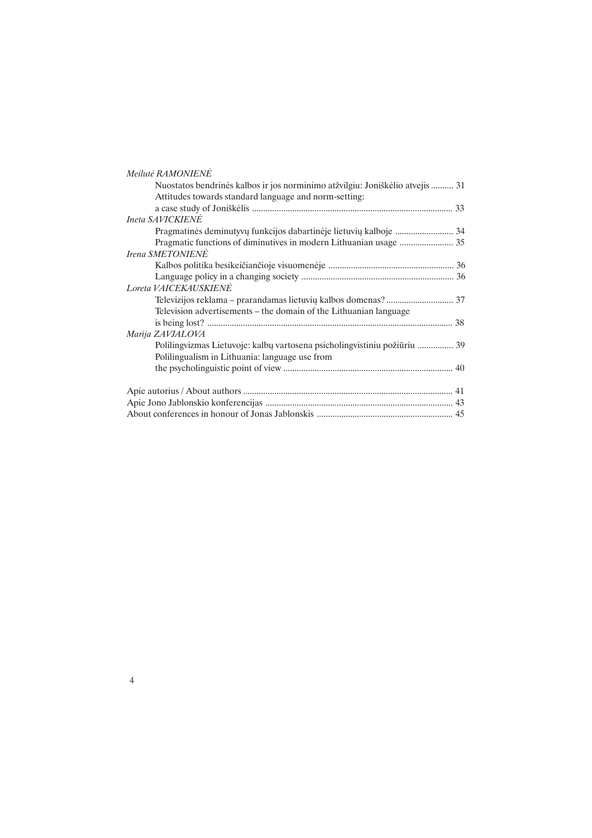| Meilutė RAMONIENE                                                             |  |
|-------------------------------------------------------------------------------|--|
| Nuostatos bendrinės kalbos ir jos norminimo atžvilgiu: Joniškėlio atvejis  31 |  |
| Attitudes towards standard language and norm-setting:                         |  |
|                                                                               |  |
| <b>Ineta SAVICKIENE</b>                                                       |  |
| Pragmatinės deminutyvų funkcijos dabartinėje lietuvių kalboje  34             |  |
|                                                                               |  |
| Irena SMETONIENE                                                              |  |
|                                                                               |  |
|                                                                               |  |
| Loreta VAICEKAUSKIENE                                                         |  |
|                                                                               |  |
| Television advertisements – the domain of the Lithuanian language             |  |
|                                                                               |  |
| Marija ZAVJALOVA                                                              |  |
| Polilingvizmas Lietuvoje: kalbų vartosena psicholingvistiniu požiūriu  39     |  |
| Polilingualism in Lithuania: language use from                                |  |
|                                                                               |  |
|                                                                               |  |
|                                                                               |  |
|                                                                               |  |
|                                                                               |  |

4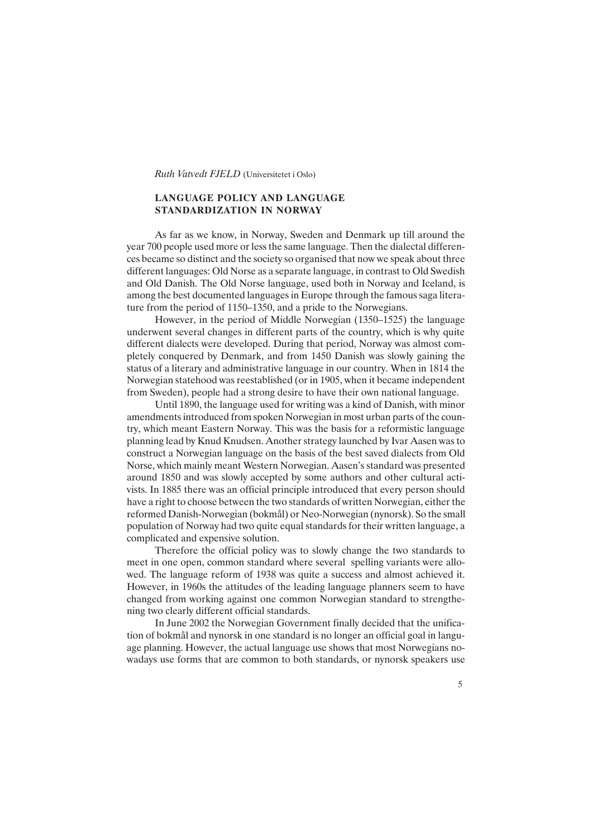Ruth Vatvedt FJELD (Universitetet i Oslo)

## LANGUAGE POLICY AND LANGUAGE STANDARDIZATION IN NORWAY

As far as we know, in Norway, Sweden and Denmark up till around the year 700 people used more or less the same language. Then the dialectal differences became so distinct and the society so organised that now we speak about three different languages: Old Norse as a separate language, in contrast to Old Swedish and Old Danish. The Old Norse language, used both in Norway and Iceland, is among the best documented languages in Europe through the famous saga literature from the period of 1150–1350, and a pride to the Norwegians.

However, in the period of Middle Norwegian (1350–1525) the language underwent several changes in different parts of the country, which is why quite different dialects were developed. During that period, Norway was almost completely conquered by Denmark, and from 1450 Danish was slowly gaining the status of a literary and administrative language in our country. When in 1814 the Norwegian statehood was reestablished (or in 1905, when it became independent from Sweden), people had a strong desire to have their own national language.

Until 1890, the language used for writing was a kind of Danish, with minor amendments introduced from spoken Norwegian in most urban parts of the country, which meant Eastern Norway. This was the basis for a reformistic language planning lead by Knud Knudsen. Another strategy launched by Ivar Aasen was to construct a Norwegian language on the basis of the best saved dialects from Old Norse, which mainly meant Western Norwegian. Aasen's standard was presented around 1850 and was slowly accepted by some authors and other cultural activists. In 1885 there was an official principle introduced that every person should have a right to choose between the two standards of written Norwegian, either the reformed Danish-Norwegian (bokmål) or Neo-Norwegian (nynorsk). So the small population of Norway had two quite equal standards for their written language, a complicated and expensive solution.

Therefore the official policy was to slowly change the two standards to meet in one open, common standard where several spelling variants were allowed. The language reform of 1938 was quite a success and almost achieved it. However, in 1960s the attitudes of the leading language planners seem to have changed from working against one common Norwegian standard to strengthening two clearly different official standards.

In June 2002 the Norwegian Government finally decided that the unification of bokmål and nynorsk in one standard is no longer an official goal in language planning. However, the actual language use shows that most Norwegians nowadays use forms that are common to both standards, or nynorsk speakers use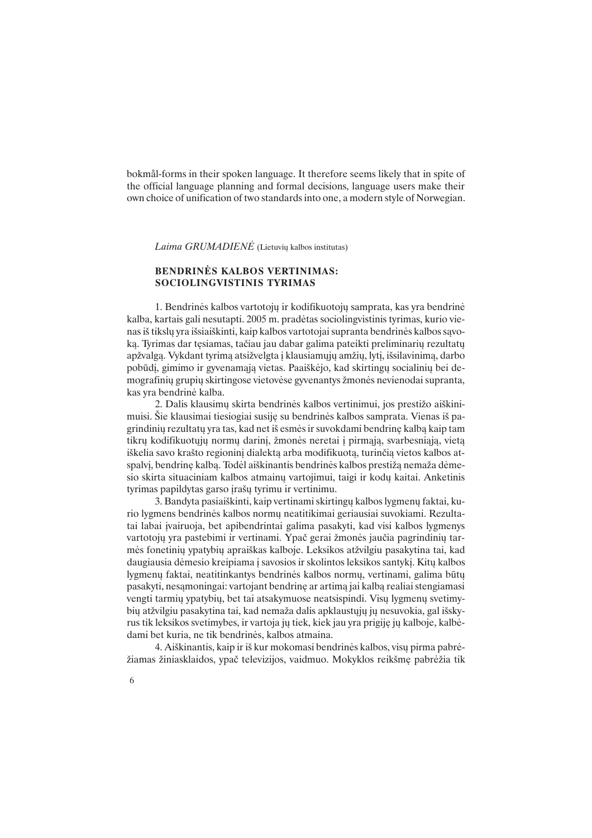bokmål-forms in their spoken language. It therefore seems likely that in spite of the official language planning and formal decisions, language users make their own choice of unification of two standards into one, a modern style of Norwegian.

Laima GRUMADIENE (Lietuvių kalbos institutas)

## BENDRINËS KALBOS VERTINIMAS: SOCIOLINGVISTINIS TYRIMAS

1. Bendrinës kalbos vartotojø ir kodifikuotojø samprata, kas yra bendrinë kalba, kartais gali nesutapti. 2005 m. pradëtas sociolingvistinis tyrimas, kurio vienas iš tikslų yra išsiaiškinti, kaip kalbos vartotojai supranta bendrinės kalbos sąvoka. Tyrimas dar tesiamas, tačiau jau dabar galima pateikti preliminarių rezultatų apžvalgą. Vykdant tyrimą atsižvelgta į klausiamųjų amžių, lytį, išsilavinimą, darbo pobûdá, gimimo ir gyvenamàjà vietas. Paaiðkëjo, kad skirtingø socialiniø bei demografinių grupių skirtingose vietovėse gyvenantys žmonės nevienodai supranta, kas yra bendrinë kalba.

2. Dalis klausimų skirta bendrinės kalbos vertinimui, jos prestižo aiškinimuisi. Ðie klausimai tiesiogiai susijæ su bendrinës kalbos samprata. Vienas ið pagrindinių rezultatų yra tas, kad net iš esmės ir suvokdami bendrinę kalbą kaip tam tikrų kodifikuotųjų normų darinį, žmonės neretai į pirmąją, svarbesniąją, vietą iškelia savo krašto regionini dialekta arba modifikuota, turinčia vietos kalbos atspalvi, bendrine kalba. Todėl aiškinantis bendrinės kalbos prestiža nemaža dėmesio skirta situaciniam kalbos atmainų vartojimui, taigi ir kodų kaitai. Anketinis tyrimas papildytas garso įrašų tyrimu ir vertinimu.

3. Bandyta pasiaiškinti, kaip vertinami skirtingų kalbos lygmenų faktai, kurio lygmens bendrinës kalbos normø neatitikimai geriausiai suvokiami. Rezultatai labai įvairuoja, bet apibendrintai galima pasakyti, kad visi kalbos lygmenys vartotojų yra pastebimi ir vertinami. Ypač gerai žmonės jaučia pagrindinių tarmės fonetinių ypatybių apraiškas kalboje. Leksikos atžvilgiu pasakytina tai, kad daugiausia dėmesio kreipiama į savosios ir skolintos leksikos santykį. Kitų kalbos lygmenų faktai, neatitinkantys bendrinės kalbos normų, vertinami, galima būtų pasakyti, nesàmoningai: vartojant bendrinæ ar artimà jai kalbà realiai stengiamasi vengti tarmių ypatybių, bet tai atsakymuose neatsispindi. Visų lygmenų svetimybių atžvilgiu pasakytina tai, kad nemaža dalis apklaustųjų jų nesuvokia, gal išskyrus tik leksikos svetimybes, ir vartoja jų tiek, kiek jau yra prigiję jų kalboje, kalbėdami bet kuria, ne tik bendrinës, kalbos atmaina.

4. Aiðkinantis, kaip ir ið kur mokomasi bendrinës kalbos, visø pirma pabrëžiamas žiniasklaidos, ypač televizijos, vaidmuo. Mokyklos reikšme pabrėžia tik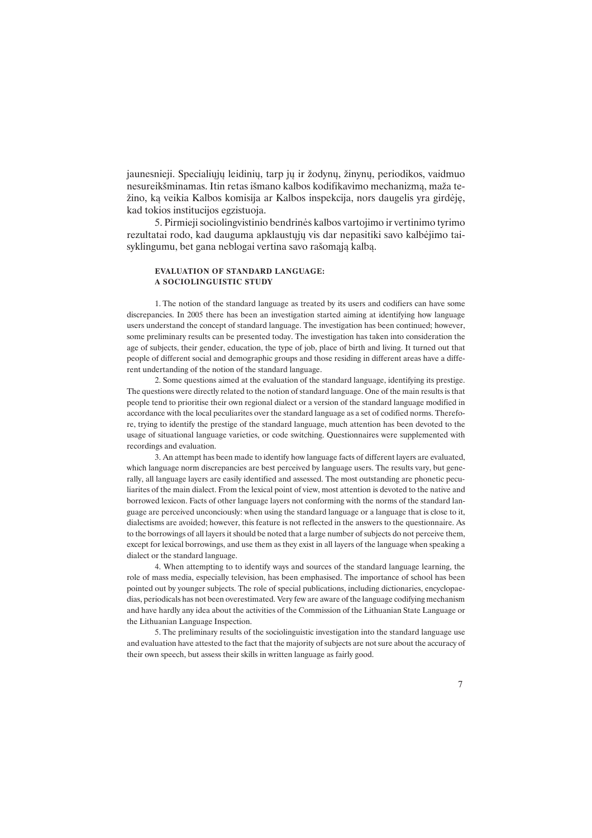jaunesnieji. Specialiųjų leidinių, tarp jų ir žodynų, žinynų, periodikos, vaidmuo nesureikšminamas. Itin retas išmano kalbos kodifikavimo mechanizma, maža teþino, kà veikia Kalbos komisija ar Kalbos inspekcija, nors daugelis yra girdëjæ, kad tokios institucijos egzistuoja.

5. Pirmieji sociolingvistinio bendrinës kalbos vartojimo ir vertinimo tyrimo rezultatai rodo, kad dauguma apklaustøjø vis dar nepasitiki savo kalbëjimo taisyklingumu, bet gana neblogai vertina savo rašomają kalbą.

#### EVALUATION OF STANDARD LANGUAGE: A SOCIOLINGUISTIC STUDY

1. The notion of the standard language as treated by its users and codifiers can have some discrepancies. In 2005 there has been an investigation started aiming at identifying how language users understand the concept of standard language. The investigation has been continued; however, some preliminary results can be presented today. The investigation has taken into consideration the age of subjects, their gender, education, the type of job, place of birth and living. It turned out that people of different social and demographic groups and those residing in different areas have a different undertanding of the notion of the standard language.

2. Some questions aimed at the evaluation of the standard language, identifying its prestige. The questions were directly related to the notion of standard language. One of the main results is that people tend to prioritise their own regional dialect or a version of the standard language modified in accordance with the local peculiarites over the standard language as a set of codified norms. Therefore, trying to identify the prestige of the standard language, much attention has been devoted to the usage of situational language varieties, or code switching. Questionnaires were supplemented with recordings and evaluation.

3. An attempt has been made to identify how language facts of different layers are evaluated, which language norm discrepancies are best perceived by language users. The results vary, but generally, all language layers are easily identified and assessed. The most outstanding are phonetic peculiarites of the main dialect. From the lexical point of view, most attention is devoted to the native and borrowed lexicon. Facts of other language layers not conforming with the norms of the standard language are perceived unconciously: when using the standard language or a language that is close to it, dialectisms are avoided; however, this feature is not reflected in the answers to the questionnaire. As to the borrowings of all layers it should be noted that a large number of subjects do not perceive them, except for lexical borrowings, and use them as they exist in all layers of the language when speaking a dialect or the standard language.

4. When attempting to to identify ways and sources of the standard language learning, the role of mass media, especially television, has been emphasised. The importance of school has been pointed out by younger subjects. The role of special publications, including dictionaries, encyclopaedias, periodicals has not been overestimated. Very few are aware of the language codifying mechanism and have hardly any idea about the activities of the Commission of the Lithuanian State Language or the Lithuanian Language Inspection.

5. The preliminary results of the sociolinguistic investigation into the standard language use and evaluation have attested to the fact that the majority of subjects are not sure about the accuracy of their own speech, but assess their skills in written language as fairly good.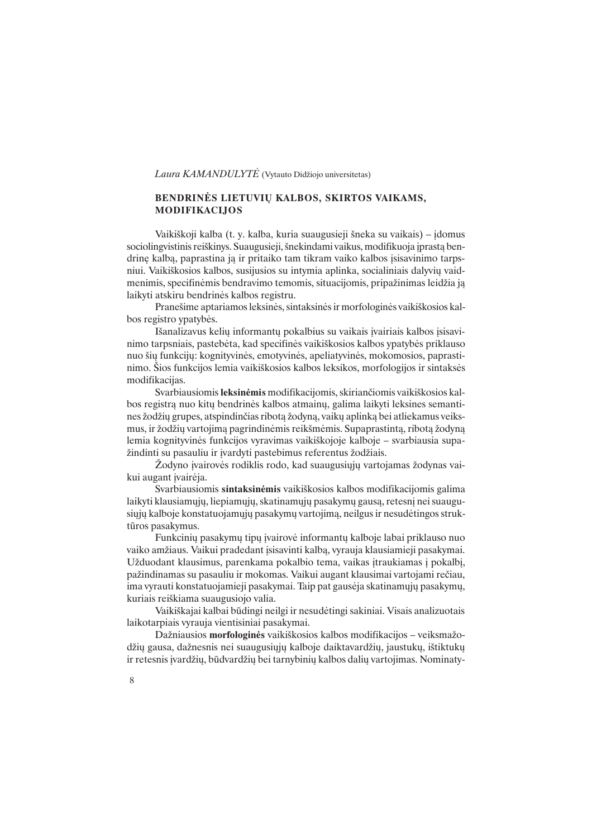Laura KAMANDULYTE (Vytauto Didžiojo universitetas)

## BENDRINĖS LIETUVIU KALBOS, SKIRTOS VAIKAMS, MODIFIKACIJOS

Vaikiškoji kalba (t. y. kalba, kuria suaugusieji šneka su vaikais) – idomus sociolingvistinis reiškinys. Suaugusieji, šnekindami vaikus, modifikuoja įprastą bendrinę kalbą, paprastina ją ir pritaiko tam tikram vaiko kalbos įsisavinimo tarpsniui. Vaikiškosios kalbos, susijusios su intymia aplinka, socialiniais dalyvių vaidmenimis, specifinėmis bendravimo temomis, situacijomis, pripažinimas leidžia ją laikyti atskiru bendrinës kalbos registru.

Praneðime aptariamos leksinës, sintaksinës ir morfologinës vaikiðkosios kalbos registro ypatybës.

Išanalizavus kelių informantų pokalbius su vaikais įvairiais kalbos įsisavinimo tarpsniais, pastebëta, kad specifinës vaikiðkosios kalbos ypatybës priklauso nuo ðiø funkcijø: kognityvinës, emotyvinës, apeliatyvinës, mokomosios, paprastinimo. Ðios funkcijos lemia vaikiðkosios kalbos leksikos, morfologijos ir sintaksës modifikacijas.

Svarbiausiomis leksinëmis modifikacijomis, skirianèiomis vaikiðkosios kalbos registra nuo kitų bendrinės kalbos atmainų, galima laikyti leksines semantines žodžių grupes, atspindinčias ribotą žodyną, vaikų aplinką bei atliekamus veiksmus, ir žodžių vartojimą pagrindinėmis reikšmėmis. Supaprastintą, ribotą žodyną lemia kognityvinės funkcijos vyravimas vaikiškojoje kalboje - svarbiausia supažindinti su pasauliu ir ivardyti pastebimus referentus žodžiais.

Žodyno ivairovės rodiklis rodo, kad suaugusiųjų vartojamas žodynas vaikui augant įvairėja.

Svarbiausiomis sintaksinëmis vaikiðkosios kalbos modifikacijomis galima laikyti klausiamųjų, liepiamųjų, skatinamųjų pasakymų gausą, retesnį nei suaugusiųjų kalboje konstatuojamųjų pasakymų vartojimą, neilgus ir nesudėtingos struktûros pasakymus.

Funkcinių pasakymų tipų įvairovė informantų kalboje labai priklauso nuo vaiko amžiaus. Vaikui pradedant isisavinti kalba, vyrauja klausiamieji pasakymai. Užduodant klausimus, parenkama pokalbio tema, vaikas įtraukiamas į pokalbį, pažindinamas su pasauliu ir mokomas. Vaikui augant klausimai vartojami rečiau, ima vyrauti konstatuojamieji pasakymai. Taip pat gausėja skatinamųjų pasakymų, kuriais reiðkiama suaugusiojo valia.

Vaikiðkajai kalbai bûdingi neilgi ir nesudëtingi sakiniai. Visais analizuotais laikotarpiais vyrauja vientisiniai pasakymai.

Dažniausios morfologinės vaikiškosios kalbos modifikacijos - veiksmažodžių gausa, dažnesnis nei suaugusiųjų kalboje daiktavardžių, jaustukų, ištiktukų ir retesnis ivardžių, būdvardžių bei tarnybinių kalbos dalių vartojimas. Nominaty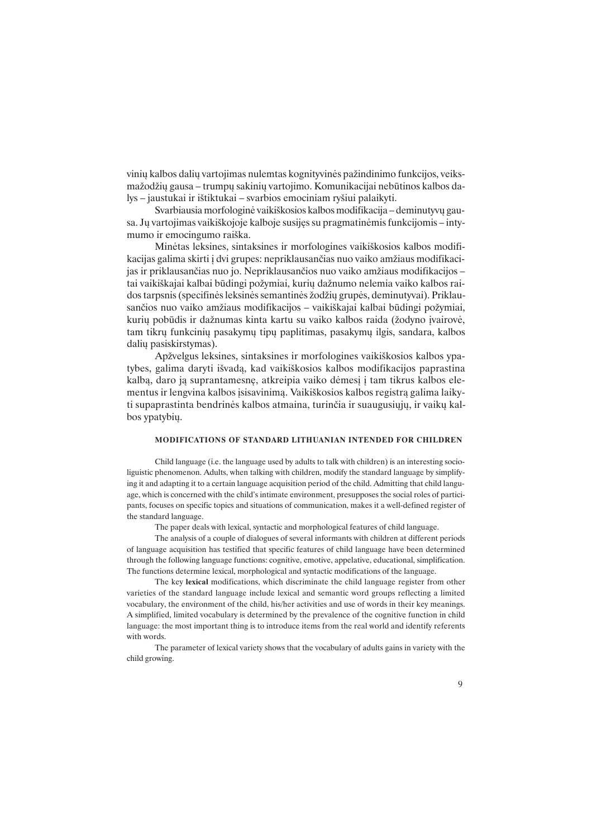vinių kalbos dalių vartojimas nulemtas kognityvinės pažindinimo funkcijos, veiksmažodžių gausa – trumpų sakinių vartojimo. Komunikacijai nebūtinos kalbos dalys – jaustukai ir ištiktukai – svarbios emociniam ryšiui palaikyti.

Svarbiausia morfologinė vaikiškosios kalbos modifikacija - deminutyvų gausa. Jų vartojimas vaikiškojoje kalboje susijęs su pragmatinėmis funkcijomis – intymumo ir emocingumo raiðka.

Minëtas leksines, sintaksines ir morfologines vaikiðkosios kalbos modifikacijas galima skirti į dvi grupes: nepriklausančias nuo vaiko amžiaus modifikacijas ir priklausančias nuo jo. Nepriklausančios nuo vaiko amžiaus modifikacijos tai vaikiškajai kalbai būdingi požymiai, kurių dažnumo nelemia vaiko kalbos raidos tarpsnis (specifinės leksinės semantinės žodžių grupės, deminutyvai). Priklausančios nuo vaiko amžiaus modifikacijos - vaikiškajai kalbai būdingi požymiai, kurių pobūdis ir dažnumas kinta kartu su vaiko kalbos raida (žodyno įvairovė, tam tikrø funkciniø pasakymø tipø paplitimas, pasakymø ilgis, sandara, kalbos daliø pasiskirstymas).

Apžvelgus leksines, sintaksines ir morfologines vaikiškosios kalbos ypatybes, galima daryti iðvadà, kad vaikiðkosios kalbos modifikacijos paprastina kalbą, daro ją suprantamesnę, atkreipia vaiko dėmesį į tam tikrus kalbos elementus ir lengvina kalbos įsisavinimą. Vaikiškosios kalbos registrą galima laikyti supaprastinta bendrinės kalbos atmaina, turinčia ir suaugusiųjų, ir vaikų kalbos ypatybių.

#### MODIFICATIONS OF STANDARD LITHUANIAN INTENDED FOR CHILDREN

Child language (i.e. the language used by adults to talk with children) is an interesting socioliguistic phenomenon. Adults, when talking with children, modify the standard language by simplifying it and adapting it to a certain language acquisition period of the child. Admitting that child language, which is concerned with the child's intimate environment, presupposes the social roles of participants, focuses on specific topics and situations of communication, makes it a well-defined register of the standard language.

The paper deals with lexical, syntactic and morphological features of child language.

The analysis of a couple of dialogues of several informants with children at different periods of language acquisition has testified that specific features of child language have been determined through the following language functions: cognitive, emotive, appelative, educational, simplification. The functions determine lexical, morphological and syntactic modifications of the language.

The key lexical modifications, which discriminate the child language register from other varieties of the standard language include lexical and semantic word groups reflecting a limited vocabulary, the environment of the child, his/her activities and use of words in their key meanings. A simplified, limited vocabulary is determined by the prevalence of the cognitive function in child language: the most important thing is to introduce items from the real world and identify referents with words.

The parameter of lexical variety shows that the vocabulary of adults gains in variety with the child growing.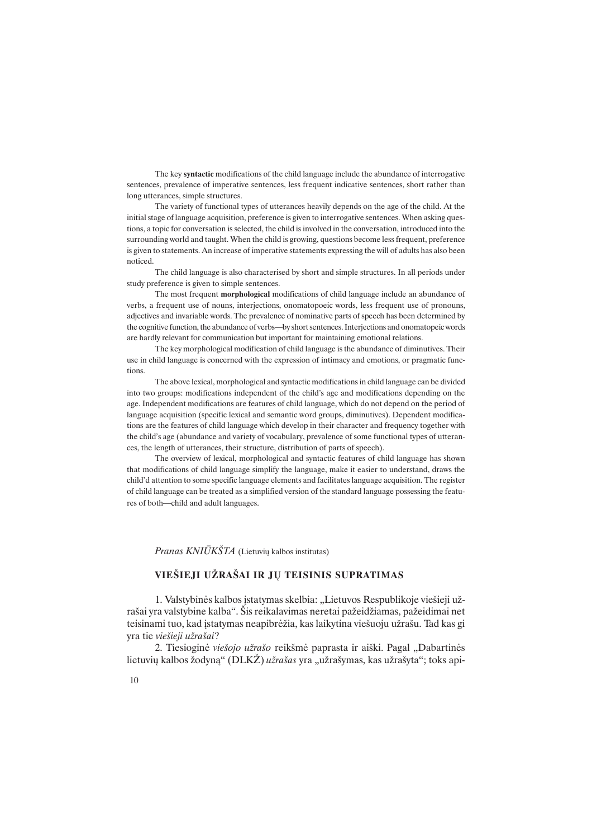The key syntactic modifications of the child language include the abundance of interrogative sentences, prevalence of imperative sentences, less frequent indicative sentences, short rather than long utterances, simple structures.

The variety of functional types of utterances heavily depends on the age of the child. At the initial stage of language acquisition, preference is given to interrogative sentences. When asking questions, a topic for conversation is selected, the child is involved in the conversation, introduced into the surrounding world and taught. When the child is growing, questions become less frequent, preference is given to statements. An increase of imperative statements expressing the will of adults has also been noticed.

The child language is also characterised by short and simple structures. In all periods under study preference is given to simple sentences.

The most frequent morphological modifications of child language include an abundance of verbs, a frequent use of nouns, interjections, onomatopoeic words, less frequent use of pronouns, adjectives and invariable words. The prevalence of nominative parts of speech has been determined by the cognitive function, the abundance of verbs—by short sentences. Interjections and onomatopeic words are hardly relevant for communication but important for maintaining emotional relations.

The key morphological modification of child language is the abundance of diminutives. Their use in child language is concerned with the expression of intimacy and emotions, or pragmatic functions.

The above lexical, morphological and syntactic modifications in child language can be divided into two groups: modifications independent of the child's age and modifications depending on the age. Independent modifications are features of child language, which do not depend on the period of language acquisition (specific lexical and semantic word groups, diminutives). Dependent modifications are the features of child language which develop in their character and frequency together with the child's age (abundance and variety of vocabulary, prevalence of some functional types of utterances, the length of utterances, their structure, distribution of parts of speech).

The overview of lexical, morphological and syntactic features of child language has shown that modifications of child language simplify the language, make it easier to understand, draws the child'd attention to some specific language elements and facilitates language acquisition. The register of child language can be treated as a simplified version of the standard language possessing the features of both—child and adult languages.

Pranas  $KNI\overline{U}K\check{S}TA$  (Lietuvių kalbos institutas)

## VIEŠIEJI UŽRAŠAI IR JU TEISINIS SUPRATIMAS

1. Valstybinės kalbos įstatymas skelbia: "Lietuvos Respublikoje viešieji užrašai yra valstybine kalba. Šis reikalavimas neretai pažeidžiamas, pažeidimai net teisinami tuo, kad įstatymas neapibrėžia, kas laikytina viešuoju užrašu. Tad kas gi yra tie viešieji užrašai?

2. Tiesioginė viešojo užrašo reikšmė paprasta ir aiški. Pagal "Dabartinės lietuvių kalbos žodyną" ( $DLKZ$ ) *užrašas* yra "užrašymas, kas užrašyta"; toks api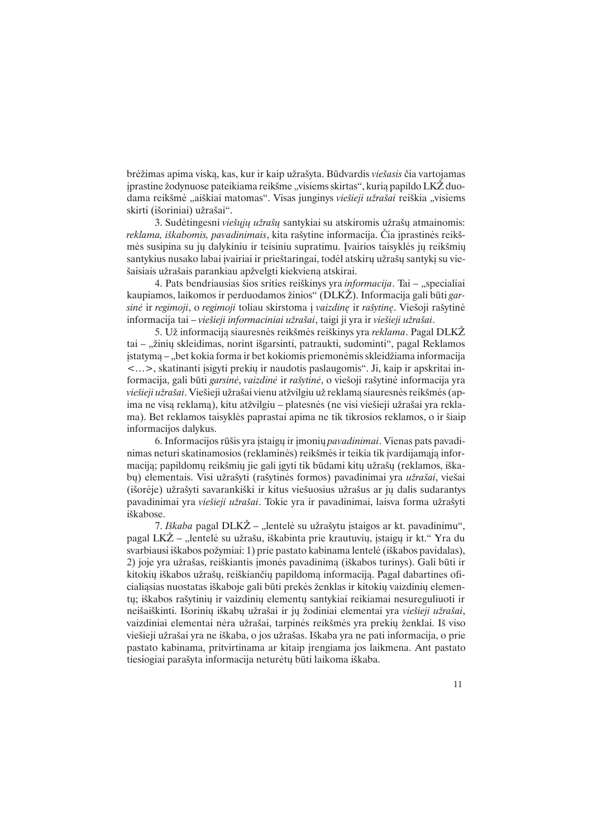brėžimas apima viską, kas, kur ir kaip užrašyta. Būdvardis viešasis čia vartojamas jprastine žodynuose pateikiama reikšme "visiems skirtas", kurią papildo LKŽ duodama reikšmė "aiškiai matomas". Visas junginys viešieji užrašai reiškia "visiems skirti (išoriniai) užrašai".

3. Sudėtingesni viešųjų užrašų santykiai su atskiromis užrašų atmainomis: reklama, iškabomis, pavadinimais, kita rašytine informacija. Čia iprastinės reikšmės susipina su jų dalykiniu ir teisiniu supratimu. Įvairios taisyklės jų reikšmių santykius nusako labai įvairiai ir prieštaringai, todėl atskirų užrašų santykį su viešaisiais užrašais parankiau apžvelgti kiekvieną atskirai.

4. Pats bendriausias šios srities reiškinys yra informacija. Tai - "specialiai kaupiamos, laikomos ir perduodamos žinios" (DLKŽ). Informacija gali būti garsinė ir regimoji, o regimoji toliau skirstoma į vaizdinę ir rašytinę. Viešoji rašytinė informacija tai - viešieji informaciniai užrašai, taigi ji yra ir viešieji užrašai.

5. Už informaciją siauresnės reikšmės reiškinys yra reklama. Pagal DLKŽ tai – "žinių skleidimas, norint išgarsinti, patraukti, sudominti", pagal Reklamos istatyma – "bet kokia forma ir bet kokiomis priemonėmis skleidžiama informacija <>, skatinanti ásigyti prekiø ir naudotis paslaugomis. Ji, kaip ir apskritai informacija, gali bûti garsinë, vaizdinë ir raðytinë, o vieðoji raðytinë informacija yra viešieji užrašai. Viešieji užrašai vienu atžvilgiu už reklamą siauresnės reikšmės (apima ne visa reklama), kitu atžvilgiu – platesnės (ne visi viešieji užrašai yra reklama). Bet reklamos taisyklës paprastai apima ne tik tikrosios reklamos, o ir ðiaip informacijos dalykus.

6. Informacijos rūšis yra įstaigų ir įmonių *pavadinimai*. Vienas pats pavadinimas neturi skatinamosios (reklaminės) reikšmės ir teikia tik įvardijamaja informaciją; papildomų reikšmių jie gali įgyti tik būdami kitų užrašų (reklamos, iškabų) elementais. Visi užrašyti (rašytinės formos) pavadinimai yra užrašai, viešai (išorėje) užrašyti savarankiški ir kitus viešuosius užrašus ar jų dalis sudarantys pavadinimai yra viešieji užrašai. Tokie yra ir pavadinimai, laisva forma užrašyti iðkabose.

7. Iškaba pagal DLKŽ – "lentelė su užrašytu įstaigos ar kt. pavadinimu", pagal LKŽ – "lentelė su užrašu, iškabinta prie krautuvių, įstaigų ir kt." Yra du svarbiausi iškabos požymiai: 1) prie pastato kabinama lentelė (iškabos pavidalas), 2) joje yra užrašas, reiškiantis imonės pavadinimą (iškabos turinys). Gali būti ir kitokių iškabos užrašų, reiškiančių papildomą informaciją. Pagal dabartines oficialiasias nuostatas iškaboje gali būti prekės ženklas ir kitokių vaizdinių elementų; iškabos rašytinių ir vaizdinių elementų santykiai reikiamai nesureguliuoti ir neišaiškinti. Išorinių iškabų užrašai ir jų žodiniai elementai yra viešieji užrašai, vaizdiniai elementai nėra užrašai, tarpinės reikšmės yra prekių ženklai. Iš viso viešieji užrašai yra ne iškaba, o jos užrašas. Iškaba yra ne pati informacija, o prie pastato kabinama, pritvirtinama ar kitaip jrengiama jos laikmena. Ant pastato tiesiogiai paraðyta informacija neturëtø bûti laikoma iðkaba.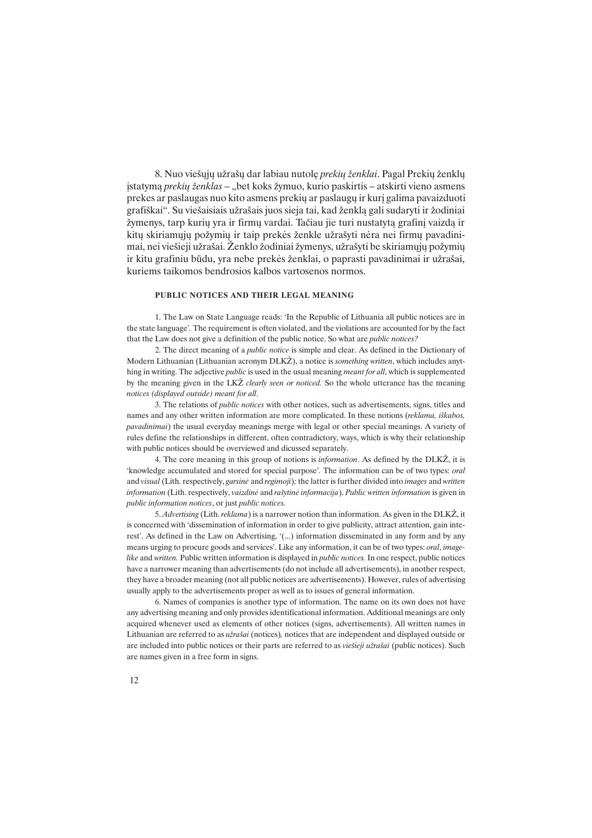8. Nuo viešųjų užrašų dar labiau nutolę prekių ženklai. Pagal Prekių ženklų jstatymą *prekių ženklas* – "bet koks žymuo, kurio paskirtis – atskirti vieno asmens prekes ar paslaugas nuo kito asmens prekiø ar paslaugø ir kurá galima pavaizduoti grafiškai". Su viešaisiais užrašais juos sieja tai, kad ženklą gali sudaryti ir žodiniai žymenys, tarp kurių yra ir firmų vardai. Tačiau jie turi nustatytą grafinį vaizdą ir kitų skiriamųjų požymių ir taip prekės ženkle užrašyti nėra nei firmų pavadinimai, nei viešieji užrašai. Ženklo žodiniai žymenys, užrašyti be skiriamųjų požymių ir kitu grafiniu būdu, yra nebe prekės ženklai, o paprasti pavadinimai ir užrašai, kuriems taikomos bendrosios kalbos vartosenos normos.

#### PUBLIC NOTICES AND THEIR LEGAL MEANING

1. The Law on State Language reads: In the Republic of Lithuania all public notices are in the state language. The requirement is often violated, and the violations are accounted for by the fact that the Law does not give a definition of the public notice. So what are public notices?

2. The direct meaning of a public notice is simple and clear. As defined in the Dictionary of Modern Lithuanian (Lithuanian acronym DLKŽ), a notice is *something written*, which includes anything in writing. The adjective public is used in the usual meaning meant for all, which is supplemented by the meaning given in the LK $Z$  clearly seen or noticed. So the whole utterance has the meaning notices (displayed outside) meant for all.

3. The relations of public notices with other notices, such as advertisements, signs, titles and names and any other written information are more complicated. In these notions (reklama, iðkabos, pavadinimai) the usual everyday meanings merge with legal or other special meanings. A variety of rules define the relationships in different, often contradictory, ways, which is why their relationship with public notices should be overviewed and dicussed separately.

4. The core meaning in this group of notions is *information*. As defined by the DLKŽ, it is 'knowledge accumulated and stored for special purpose'. The information can be of two types: oral and visual (Lith. respectively, garsine and regimoji); the latter is further divided into images and written information (Lith. respectively, vaizdinë and raðytinë informacija). Public written information is given in public information notices, or just public notices.

5. Advertising (Lith. reklama) is a narrower notion than information. As given in the DLKZ, it is concerned with 'dissemination of information in order to give publicity, attract attention, gain interest'. As defined in the Law on Advertising, '(...) information disseminated in any form and by any means urging to procure goods and services'. Like any information, it can be of two types: *oral, image*like and written. Public written information is displayed in *public notices*. In one respect, public notices have a narrower meaning than advertisements (do not include all advertisements), in another respect, they have a broader meaning (not all public notices are advertisements). However, rules of advertising usually apply to the advertisements proper as well as to issues of general information.

6. Names of companies is another type of information. The name on its own does not have any advertising meaning and only provides identificational information. Additional meanings are only acquired whenever used as elements of other notices (signs, advertisements). All written names in Lithuanian are referred to as užrašai (notices), notices that are independent and displayed outside or are included into public notices or their parts are referred to as *viešieji užrašai* (public notices). Such are names given in a free form in signs.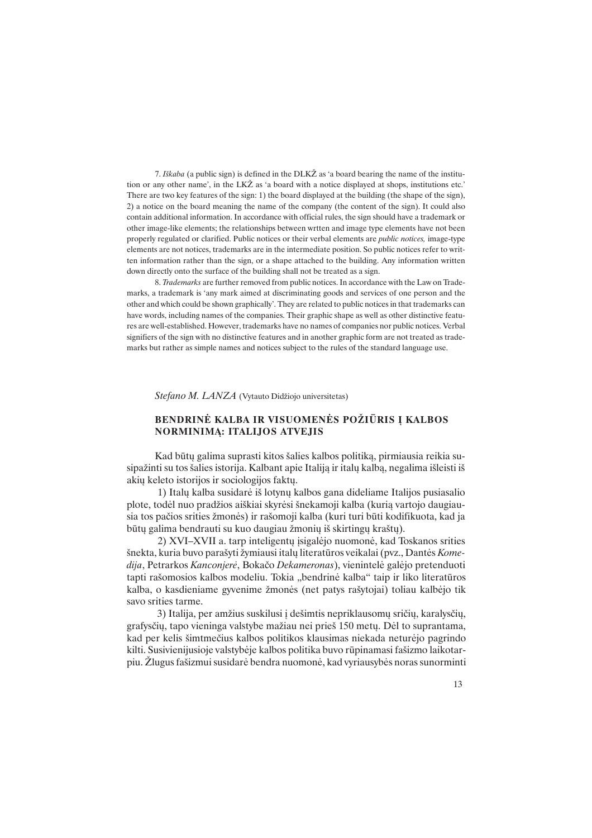7. Iškaba (a public sign) is defined in the DLK $\check{Z}$  as 'a board bearing the name of the institution or any other name, in the  $LK\tilde{Z}$  as 'a board with a notice displayed at shops, institutions etc. There are two key features of the sign: 1) the board displayed at the building (the shape of the sign), 2) a notice on the board meaning the name of the company (the content of the sign). It could also contain additional information. In accordance with official rules, the sign should have a trademark or other image-like elements; the relationships between wrtten and image type elements have not been properly regulated or clarified. Public notices or their verbal elements are public notices, image-type elements are not notices, trademarks are in the intermediate position. So public notices refer to written information rather than the sign, or a shape attached to the building. Any information written down directly onto the surface of the building shall not be treated as a sign.

8. Trademarks are further removed from public notices. In accordance with the Law on Trademarks, a trademark is 'any mark aimed at discriminating goods and services of one person and the other and which could be shown graphically. They are related to public notices in that trademarks can have words, including names of the companies. Their graphic shape as well as other distinctive features are well-established. However, trademarks have no names of companies nor public notices. Verbal signifiers of the sign with no distinctive features and in another graphic form are not treated as trademarks but rather as simple names and notices subject to the rules of the standard language use.

Stefano M. LANZA (Vytauto Didžiojo universitetas)

## BENDRINĖ KALBA IR VISUOMENĖS POŽIŪRIS Į KALBOS NORMINIMÀ: ITALIJOS ATVEJIS

Kad būtų galima suprasti kitos šalies kalbos politiką, pirmiausia reikia susipažinti su tos šalies istorija. Kalbant apie Italija ir italų kalbą, negalima išleisti iš akiø keleto istorijos ir sociologijos faktø.

 1) Italø kalba susidarë ið lotynø kalbos gana dideliame Italijos pusiasalio plote, todėl nuo pradžios aiškiai skyrėsi šnekamoji kalba (kurią vartojo daugiausia tos pačios srities žmonės) ir rašomoji kalba (kuri turi būti kodifikuota, kad ja būtų galima bendrauti su kuo daugiau žmonių iš skirtingų kraštų).

2) XVI-XVII a. tarp inteligentų isigalėjo nuomonė, kad Toskanos srities šnekta, kuria buvo parašyti žymiausi italų literatūros veikalai (pvz., Dantės Komedija, Petrarkos Kanconjerë, Bokaèo Dekameronas), vienintelë galëjo pretenduoti tapti rašomosios kalbos modeliu. Tokia "bendrinė kalba" taip ir liko literatūros kalba, o kasdieniame gyvenime žmonės (net patys rašytojai) toliau kalbėjo tik savo srities tarme.

3) Italija, per amžius suskilusi į dešimtis nepriklausomų sričių, karalysčių, grafysčių, tapo vieninga valstybe mažiau nei prieš 150 metų. Dėl to suprantama, kad per kelis ðimtmeèius kalbos politikos klausimas niekada neturëjo pagrindo kilti. Susivienijusioje valstybëje kalbos politika buvo rûpinamasi faðizmo laikotarpiu. Žlugus fašizmui susidarė bendra nuomonė, kad vyriausybės noras sunorminti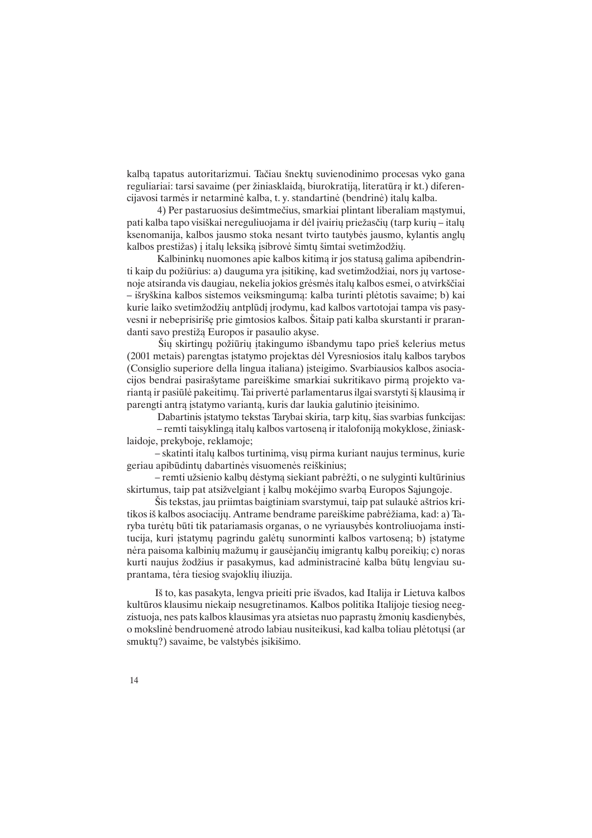kalbą tapatus autoritarizmui. Tačiau šnektų suvienodinimo procesas vyko gana reguliariai: tarsi savaime (per žiniasklaidą, biurokratiją, literatūrą ir kt.) diferencijavosi tarmës ir netarminë kalba, t. y. standartinë (bendrinë) italø kalba.

4) Per pastaruosius dešimtmečius, smarkiai plintant liberaliam mąstymui, pati kalba tapo visiškai nereguliuojama ir dėl įvairių priežasčių (tarp kurių – italų ksenomanija, kalbos jausmo stoka nesant tvirto tautybės jausmo, kylantis anglų kalbos prestižas) į italų leksiką įsibrovė šimtų šimtai svetimžodžių.

Kalbininkų nuomones apie kalbos kitimą ir jos statusą galima apibendrinti kaip du požiūrius: a) dauguma yra įsitikinę, kad svetimžodžiai, nors jų vartosenoje atsiranda vis daugiau, nekelia jokios grėsmės italų kalbos esmei, o atvirkščiai iðryðkina kalbos sistemos veiksmingumà: kalba turinti plëtotis savaime; b) kai kurie laiko svetimžodžių antplūdį įrodymu, kad kalbos vartotojai tampa vis pasyvesni ir nebeprisiriðæ prie gimtosios kalbos. Ðitaip pati kalba skurstanti ir prarandanti savo prestiža Europos ir pasaulio akyse.

Šių skirtingu požiūrių itakingumo išbandymu tapo prieš kelerius metus (2001 metais) parengtas istatymo projektas dėl Vyresniosios italų kalbos tarybos (Consiglio superiore della lingua italiana) ásteigimo. Svarbiausios kalbos asociacijos bendrai pasiraðytame pareiðkime smarkiai sukritikavo pirmà projekto variantą ir pasiūlė pakeitimų. Tai privertė parlamentarus ilgai svarstyti šį klausimą ir parengti antrà ástatymo variantà, kuris dar laukia galutinio áteisinimo.

Dabartinis įstatymo tekstas Tarybai skiria, tarp kitų, šias svarbias funkcijas:

- remti taisyklinga italų kalbos vartoseną ir italofoniją mokyklose, žiniasklaidoje, prekyboje, reklamoje;

 skatinti italø kalbos turtinimà, visø pirma kuriant naujus terminus, kurie geriau apibûdintø dabartinës visuomenës reiðkinius;

- remti užsienio kalbų dėstymą siekiant pabrėžti, o ne sulyginti kultūrinius skirtumus, taip pat atsižvelgiant į kalbų mokėjimo svarbą Europos Sąjungoje.

Ðis tekstas, jau priimtas baigtiniam svarstymui, taip pat sulaukë aðtrios kritikos iš kalbos asociacijų. Antrame bendrame pareiškime pabrėžiama, kad: a) Taryba turëtø bûti tik patariamasis organas, o ne vyriausybës kontroliuojama institucija, kuri įstatymų pagrindu galėtų sunorminti kalbos vartoseną; b) įstatyme nėra paisoma kalbinių mažumų ir gausėjančių imigrantų kalbų poreikių; c) noras kurti naujus žodžius ir pasakymus, kad administracinė kalba būtų lengviau suprantama, tëra tiesiog svajokliø iliuzija.

Ið to, kas pasakyta, lengva prieiti prie iðvados, kad Italija ir Lietuva kalbos kultûros klausimu niekaip nesugretinamos. Kalbos politika Italijoje tiesiog neegzistuoja, nes pats kalbos klausimas yra atsietas nuo paprastų žmonių kasdienybės, o mokslinė bendruomenė atrodo labiau nusiteikusi, kad kalba toliau plėtotusi (ar smuktų?) savaime, be valstybės įsikišimo.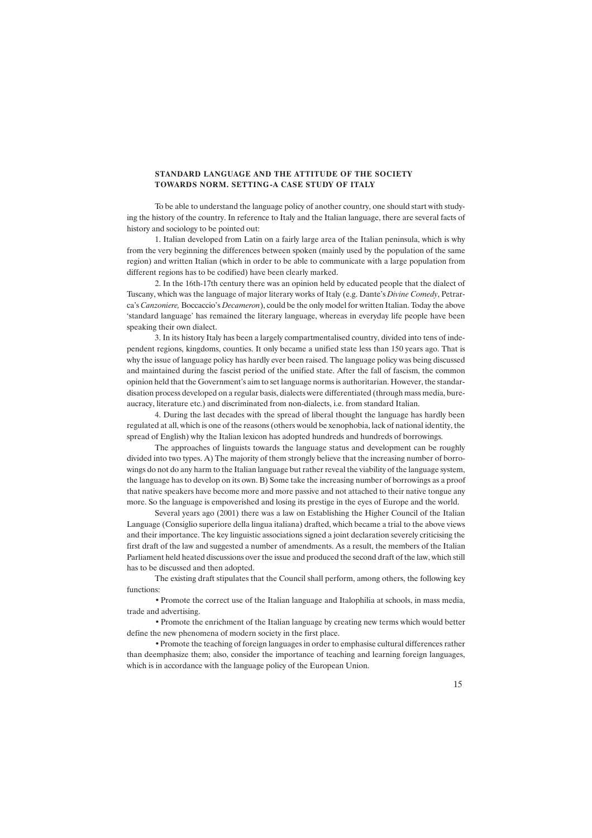#### STANDARD LANGUAGE AND THE ATTITUDE OF THE SOCIETY TOWARDS NORM. SETTING -A CASE STUDY OF ITALY

To be able to understand the language policy of another country, one should start with studying the history of the country. In reference to Italy and the Italian language, there are several facts of history and sociology to be pointed out:

1. Italian developed from Latin on a fairly large area of the Italian peninsula, which is why from the very beginning the differences between spoken (mainly used by the population of the same region) and written Italian (which in order to be able to communicate with a large population from different regions has to be codified) have been clearly marked.

2. In the 16th-17th century there was an opinion held by educated people that the dialect of Tuscany, which was the language of major literary works of Italy (e.g. Dante's Divine Comedy, Petrarca's Canzoniere, Boccaccio's Decameron), could be the only model for written Italian. Today the above standard language has remained the literary language, whereas in everyday life people have been speaking their own dialect.

3. In its history Italy has been a largely compartmentalised country, divided into tens of independent regions, kingdoms, counties. It only became a unified state less than 150 years ago. That is why the issue of language policy has hardly ever been raised. The language policy was being discussed and maintained during the fascist period of the unified state. After the fall of fascism, the common opinion held that the Government's aim to set language norms is authoritarian. However, the standardisation process developed on a regular basis, dialects were differentiated (through mass media, bureaucracy, literature etc.) and discriminated from non-dialects, i.e. from standard Italian.

4. During the last decades with the spread of liberal thought the language has hardly been regulated at all, which is one of the reasons (others would be xenophobia, lack of national identity, the spread of English) why the Italian lexicon has adopted hundreds and hundreds of borrowings.

The approaches of linguists towards the language status and development can be roughly divided into two types. A) The majority of them strongly believe that the increasing number of borrowings do not do any harm to the Italian language but rather reveal the viability of the language system, the language has to develop on its own. B) Some take the increasing number of borrowings as a proof that native speakers have become more and more passive and not attached to their native tongue any more. So the language is empoverished and losing its prestige in the eyes of Europe and the world.

Several years ago (2001) there was a law on Establishing the Higher Council of the Italian Language (Consiglio superiore della lingua italiana) drafted, which became a trial to the above views and their importance. The key linguistic associations signed a joint declaration severely criticising the first draft of the law and suggested a number of amendments. As a result, the members of the Italian Parliament held heated discussions over the issue and produced the second draft of the law, which still has to be discussed and then adopted.

The existing draft stipulates that the Council shall perform, among others, the following key functions:

• Promote the correct use of the Italian language and Italophilia at schools, in mass media, trade and advertising.

• Promote the enrichment of the Italian language by creating new terms which would better define the new phenomena of modern society in the first place.

• Promote the teaching of foreign languages in order to emphasise cultural differences rather than deemphasize them; also, consider the importance of teaching and learning foreign languages, which is in accordance with the language policy of the European Union.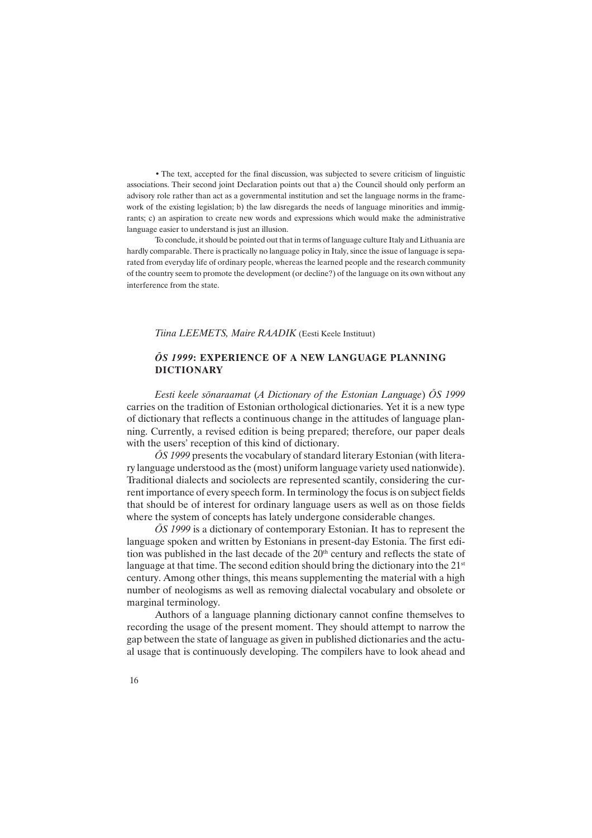• The text, accepted for the final discussion, was subjected to severe criticism of linguistic associations. Their second joint Declaration points out that a) the Council should only perform an advisory role rather than act as a governmental institution and set the language norms in the framework of the existing legislation; b) the law disregards the needs of language minorities and immigrants; c) an aspiration to create new words and expressions which would make the administrative language easier to understand is just an illusion.

To conclude, it should be pointed out that in terms of language culture Italy and Lithuania are hardly comparable. There is practically no language policy in Italy, since the issue of language is separated from everyday life of ordinary people, whereas the learned people and the research community of the country seem to promote the development (or decline?) of the language on its own without any interference from the state.

Tiina LEEMETS, Maire RAADIK (Eesti Keele Instituut)

## ÕS 1999: EXPERIENCE OF A NEW LANGUAGE PLANNING DICTIONARY

Eesti keele sõnaraamat (A Dictionary of the Estonian Language) ÕS 1999 carries on the tradition of Estonian orthological dictionaries. Yet it is a new type of dictionary that reflects a continuous change in the attitudes of language planning. Currently, a revised edition is being prepared; therefore, our paper deals with the users' reception of this kind of dictionary.

 $\tilde{O}S$  1999 presents the vocabulary of standard literary Estonian (with literary language understood as the (most) uniform language variety used nationwide). Traditional dialects and sociolects are represented scantily, considering the current importance of every speech form. In terminology the focus is on subject fields that should be of interest for ordinary language users as well as on those fields where the system of concepts has lately undergone considerable changes.

 $\tilde{O}S$  1999 is a dictionary of contemporary Estonian. It has to represent the language spoken and written by Estonians in present-day Estonia. The first edition was published in the last decade of the  $20<sup>th</sup>$  century and reflects the state of language at that time. The second edition should bring the dictionary into the  $21<sup>st</sup>$ century. Among other things, this means supplementing the material with a high number of neologisms as well as removing dialectal vocabulary and obsolete or marginal terminology.

Authors of a language planning dictionary cannot confine themselves to recording the usage of the present moment. They should attempt to narrow the gap between the state of language as given in published dictionaries and the actual usage that is continuously developing. The compilers have to look ahead and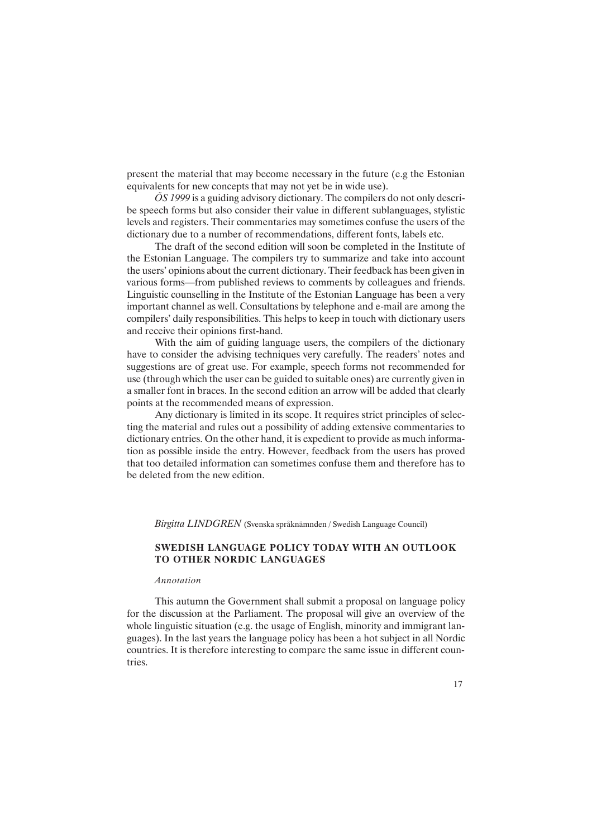present the material that may become necessary in the future (e.g the Estonian equivalents for new concepts that may not yet be in wide use).

ÕS 1999 is a guiding advisory dictionary. The compilers do not only describe speech forms but also consider their value in different sublanguages, stylistic levels and registers. Their commentaries may sometimes confuse the users of the dictionary due to a number of recommendations, different fonts, labels etc.

The draft of the second edition will soon be completed in the Institute of the Estonian Language. The compilers try to summarize and take into account the users' opinions about the current dictionary. Their feedback has been given in various forms—from published reviews to comments by colleagues and friends. Linguistic counselling in the Institute of the Estonian Language has been a very important channel as well. Consultations by telephone and e-mail are among the compilers' daily responsibilities. This helps to keep in touch with dictionary users and receive their opinions first-hand.

With the aim of guiding language users, the compilers of the dictionary have to consider the advising techniques very carefully. The readers' notes and suggestions are of great use. For example, speech forms not recommended for use (through which the user can be guided to suitable ones) are currently given in a smaller font in braces. In the second edition an arrow will be added that clearly points at the recommended means of expression.

Any dictionary is limited in its scope. It requires strict principles of selecting the material and rules out a possibility of adding extensive commentaries to dictionary entries. On the other hand, it is expedient to provide as much information as possible inside the entry. However, feedback from the users has proved that too detailed information can sometimes confuse them and therefore has to be deleted from the new edition.

Birgitta LINDGREN (Svenska språknämnden / Swedish Language Council)

## SWEDISH LANGUAGE POLICY TODAY WITH AN OUTLOOK TO OTHER NORDIC LANGUAGES

#### Annotation

This autumn the Government shall submit a proposal on language policy for the discussion at the Parliament. The proposal will give an overview of the whole linguistic situation (e.g. the usage of English, minority and immigrant languages). In the last years the language policy has been a hot subject in all Nordic countries. It is therefore interesting to compare the same issue in different countries.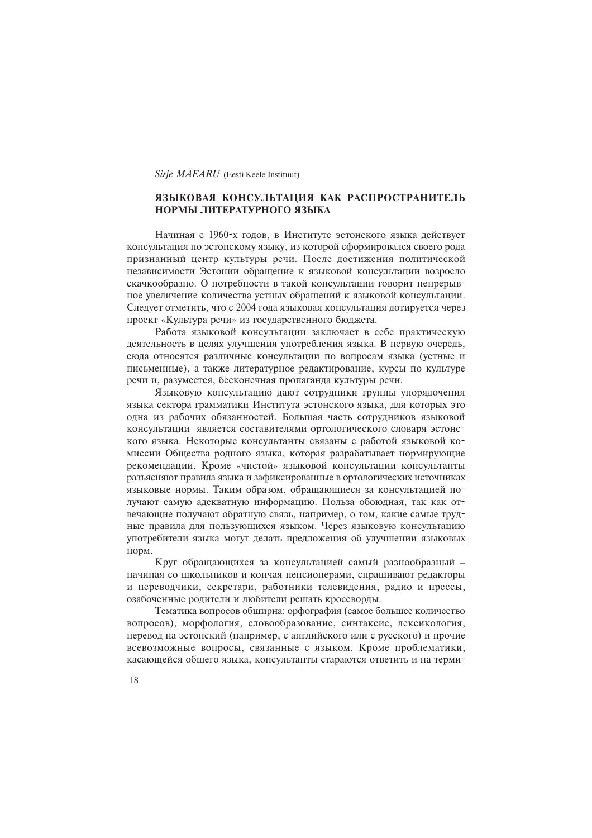#### Sirje MÄEARU (Eesti Keele Instituut)

## ЯЗЫКОВАЯ КОНСУЛЬТАЦИЯ КАК РАСПРОСТРАНИТЕЛЬ НОРМЫ ЛИТЕРАТУРНОГО ЯЗЫКА

Начиная с 1960-х годов, в Институте эстонского языка действует консультация по эстонскому языку, из которой сформировался своего рода признанный центр культуры речи. После достижения политической независимости Эстонии обращение к языковой консультации возросло скачкообразно. О потребности в такой консультации говорит непрерывное увеличение количества устных обращений к языковой консультации. Следует отметить, что с 2004 года языковая консультация дотируется через проект «Культура речи» из государственного бюджета.

Работа языковой консультации заключает в себе практическую леятельность в целях улучшения употребления языка. В первую очередь, сюда относятся различные консультации по вопросам языка (устные и письменные), а также литературное редактирование, курсы по культуре речи и, разумеется, бесконечная пропаганда культуры речи.

Языковую консультацию дают сотрудники группы упорядочения языка сектора грамматики Института эстонского языка, для которых это одна из рабочих обязанностей. Большая часть сотрудников языковой консультации является составителями ортологического словаря эстонского языка. Некоторые консультанты связаны с работой языковой комиссии Общества родного языка, которая разрабатывает нормирующие рекомендации. Кроме «чистой» языковой консультации консультанты разъясняют правила языка и зафиксированные в ортологических источниках языковые нормы. Таким образом, обращающиеся за консультацией получают самую адекватную информацию. Польза обоюдная, так как отвечающие получают обратную связь, например, о том, какие самые трудные правила для пользующихся языком. Через языковую консультацию употребители языка могут делать предложения об улучшении языковых норм.

Круг обращающихся за консультацией самый разнообразный начиная со школьников и кончая пенсионерами, спрашивают редакторы й переводчики, секретари, работники телевидения, радио и прессы, озабоченные родители и любители решать кроссворды.

Тематика вопросов обширна: орфография (самое большее количество вопросов), морфология, словообразование, синтаксис, лексикология, перевод на эстонский (например, с английского или с русского) и прочие всевозможные вопросы, связанные с языком. Кроме проблематики, касающейся общего языка, консультанты стараются ответить и на терми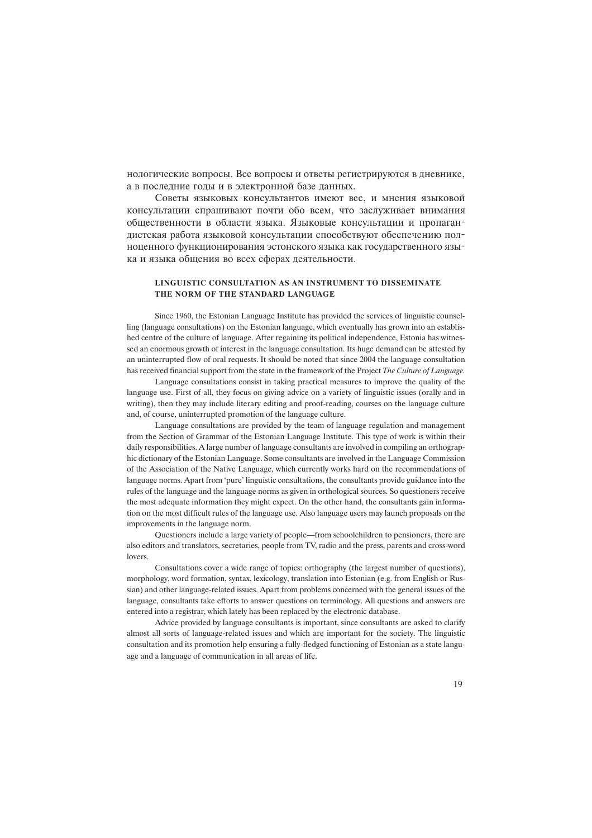нологические вопросы. Все вопросы и ответы регистрируются в дневнике, а в последние годы и в электронной базе данных.

Советы языковых консультантов имеют вес, и мнения языковой консультации спрашивают почти обо всем, что заслуживает внимания общественности в области языка. Языковые консультации и пропагандистская работа языковой консультации способствуют обеспечению полноценного функционирования эстонского языка как государственного языка и языка общения во всех сферах деятельности.

#### LINGUISTIC CONSULTATION AS AN INSTRUMENT TO DISSEMINATE THE NORM OF THE STANDARD LANGUAGE

Since 1960, the Estonian Language Institute has provided the services of linguistic counselling (language consultations) on the Estonian language, which eventually has grown into an established centre of the culture of language. After regaining its political independence, Estonia has witnessed an enormous growth of interest in the language consultation. Its huge demand can be attested by an uninterrupted flow of oral requests. It should be noted that since 2004 the language consultation has received financial support from the state in the framework of the Project The Culture of Language.

Language consultations consist in taking practical measures to improve the quality of the language use. First of all, they focus on giving advice on a variety of linguistic issues (orally and in writing), then they may include literary editing and proof-reading, courses on the language culture and, of course, uninterrupted promotion of the language culture.

Language consultations are provided by the team of language regulation and management from the Section of Grammar of the Estonian Language Institute. This type of work is within their daily responsibilities. A large number of language consultants are involved in compiling an orthographic dictionary of the Estonian Language. Some consultants are involved in the Language Commission of the Association of the Native Language, which currently works hard on the recommendations of language norms. Apart from 'pure' linguistic consultations, the consultants provide guidance into the rules of the language and the language norms as given in orthological sources. So questioners receive the most adequate information they might expect. On the other hand, the consultants gain information on the most difficult rules of the language use. Also language users may launch proposals on the improvements in the language norm.

Questioners include a large variety of people—from schoolchildren to pensioners, there are also editors and translators, secretaries, people from TV, radio and the press, parents and cross-word lovers.

Consultations cover a wide range of topics: orthography (the largest number of questions), morphology, word formation, syntax, lexicology, translation into Estonian (e.g. from English or Russian) and other language-related issues. Apart from problems concerned with the general issues of the language, consultants take efforts to answer questions on terminology. All questions and answers are entered into a registrar, which lately has been replaced by the electronic database.

Advice provided by language consultants is important, since consultants are asked to clarify almost all sorts of language-related issues and which are important for the society. The linguistic consultation and its promotion help ensuring a fully-fledged functioning of Estonian as a state language and a language of communication in all areas of life.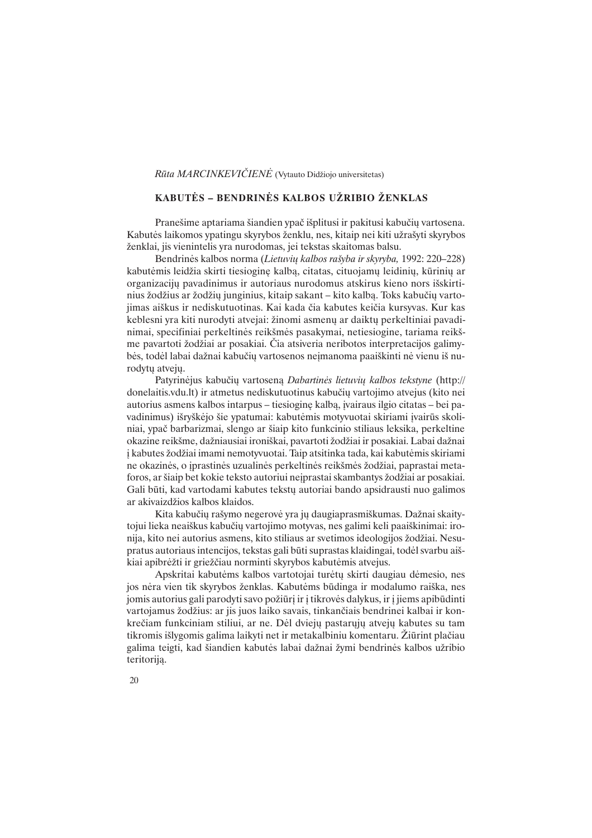## Rūta MARCINKEVIČIENĖ (Vytauto Didžiojo universitetas)

## KABUTĖS – BENDRINĖS KALBOS UŽRIBIO ŽENKLAS

Pranešime aptariama šiandien ypač išplitusi ir pakitusi kabučių vartosena. Kabutės laikomos ypatingu skyrybos ženklu, nes, kitaip nei kiti užrašyti skyrybos þenklai, jis vienintelis yra nurodomas, jei tekstas skaitomas balsu.

Bendrinės kalbos norma (Lietuvių kalbos rašyba ir skyryba, 1992: 220–228) kabutėmis leidžia skirti tiesioginę kalbą, citatas, cituojamų leidinių, kūrinių ar organizacijø pavadinimus ir autoriaus nurodomus atskirus kieno nors iðskirtinius žodžius ar žodžių junginius, kitaip sakant – kito kalbą. Toks kabučių vartojimas aiðkus ir nediskutuotinas. Kai kada èia kabutes keièia kursyvas. Kur kas keblesni yra kiti nurodyti atvejai: žinomi asmenų ar daiktų perkeltiniai pavadinimai, specifiniai perkeltinës reikðmës pasakymai, netiesiogine, tariama reikðme pavartoti žodžiai ar posakiai. Čia atsiveria neribotos interpretacijos galimybės, todėl labai dažnai kabučių vartosenos neimanoma paaiškinti nė vienu iš nurodytø atvejø.

Patyrinėjus kabučių vartoseną Dabartinės lietuvių kalbos tekstyne (http:// donelaitis.vdu.lt) ir atmetus nediskutuotinus kabuèiø vartojimo atvejus (kito nei autorius asmens kalbos intarpus – tiesiogine kalba, ivairaus ilgio citatas – bei pavadinimus) išryškėjo šie ypatumai: kabutėmis motyvuotai skiriami įvairūs skoliniai, ypaè barbarizmai, slengo ar ðiaip kito funkcinio stiliaus leksika, perkeltine okazine reikšme, dažniausiai ironiškai, pavartoti žodžiai ir posakiai. Labai dažnai i kabutes žodžiai imami nemotyvuotai. Taip atsitinka tada, kai kabutėmis skiriami ne okazinës, o iprastinës uzualinës perkeltinës reikšmës žodžiai, paprastai metaforos, ar šiaip bet kokie teksto autoriui neįprastai skambantys žodžiai ar posakiai. Gali būti, kad vartodami kabutes tekstų autoriai bando apsidrausti nuo galimos ar akivaizdžios kalbos klaidos.

Kita kabučių rašymo negerovė yra jų daugiaprasmiškumas. Dažnai skaitytojui lieka neaiðkus kabuèiø vartojimo motyvas, nes galimi keli paaiðkinimai: ironija, kito nei autorius asmens, kito stiliaus ar svetimos ideologijos žodžiai. Nesupratus autoriaus intencijos, tekstas gali bûti suprastas klaidingai, todël svarbu aiðkiai apibrėžti ir griežčiau norminti skyrybos kabutėmis atvejus.

Apskritai kabutëms kalbos vartotojai turëtø skirti daugiau dëmesio, nes jos nėra vien tik skyrybos ženklas. Kabutėms būdinga ir modalumo raiška, nes jomis autorius gali parodyti savo požiūrį ir į tikrovės dalykus, ir į jiems apibūdinti vartojamus žodžius: ar jis juos laiko savais, tinkančiais bendrinei kalbai ir konkrečiam funkciniam stiliui, ar ne. Dėl dviejų pastarųjų atvejų kabutes su tam tikromis išlygomis galima laikyti net ir metakalbiniu komentaru. Žiūrint plačiau galima teigti, kad šiandien kabutės labai dažnai žymi bendrinės kalbos užribio teritorija.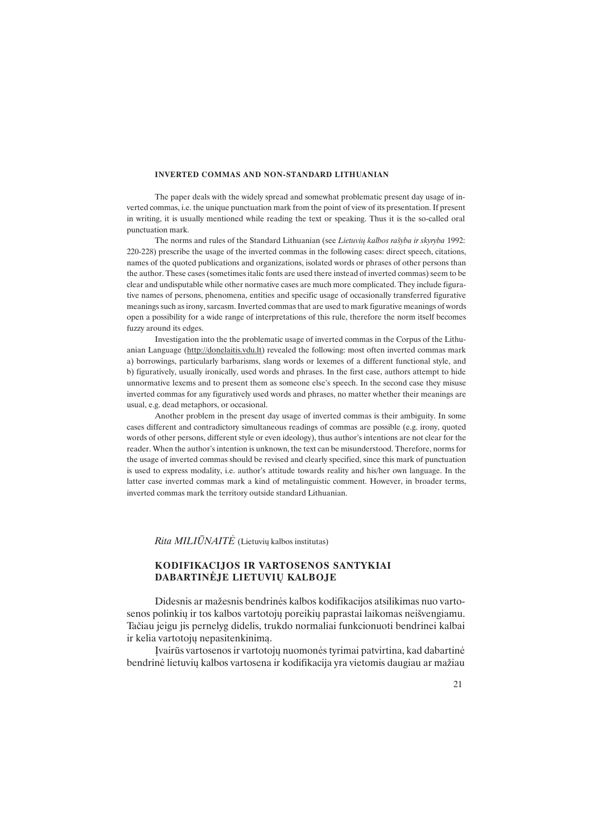#### INVERTED COMMAS AND NON-STANDARD LITHUANIAN

The paper deals with the widely spread and somewhat problematic present day usage of inverted commas, i.e. the unique punctuation mark from the point of view of its presentation. If present in writing, it is usually mentioned while reading the text or speaking. Thus it is the so-called oral punctuation mark.

The norms and rules of the Standard Lithuanian (see Lietuvių kalbos rašyba ir skyryba 1992: 220-228) prescribe the usage of the inverted commas in the following cases: direct speech, citations, names of the quoted publications and organizations, isolated words or phrases of other persons than the author. These cases (sometimes italic fonts are used there instead of inverted commas) seem to be clear and undisputable while other normative cases are much more complicated. They include figurative names of persons, phenomena, entities and specific usage of occasionally transferred figurative meanings such as irony, sarcasm. Inverted commas that are used to mark figurative meanings of words open a possibility for a wide range of interpretations of this rule, therefore the norm itself becomes fuzzy around its edges.

Investigation into the the problematic usage of inverted commas in the Corpus of the Lithuanian Language (http://donelaitis.vdu.lt) revealed the following: most often inverted commas mark a) borrowings, particularly barbarisms, slang words or lexemes of a different functional style, and b) figuratively, usually ironically, used words and phrases. In the first case, authors attempt to hide unnormative lexems and to present them as someone else's speech. In the second case they misuse inverted commas for any figuratively used words and phrases, no matter whether their meanings are usual, e.g. dead metaphors, or occasional.

Another problem in the present day usage of inverted commas is their ambiguity. In some cases different and contradictory simultaneous readings of commas are possible (e.g. irony, quoted words of other persons, different style or even ideology), thus author's intentions are not clear for the reader. When the author's intention is unknown, the text can be misunderstood. Therefore, norms for the usage of inverted commas should be revised and clearly specified, since this mark of punctuation is used to express modality, i.e. author's attitude towards reality and his/her own language. In the latter case inverted commas mark a kind of metalinguistic comment. However, in broader terms, inverted commas mark the territory outside standard Lithuanian.

 $Rita \t MILI \t\bar{U} NAIT \t\dot{E}$  (Lietuvių kalbos institutas)

## KODIFIKACIJOS IR VARTOSENOS SANTYKIAI DABARTINËJE LIETUVIØ KALBOJE

Didesnis ar mažesnis bendrinės kalbos kodifikacijos atsilikimas nuo vartosenos polinkių ir tos kalbos vartotojų poreikių paprastai laikomas neišvengiamu. Taèiau jeigu jis pernelyg didelis, trukdo normaliai funkcionuoti bendrinei kalbai ir kelia vartotojø nepasitenkinimà.

Ávairûs vartosenos ir vartotojø nuomonës tyrimai patvirtina, kad dabartinë bendrinė lietuvių kalbos vartosena ir kodifikacija yra vietomis daugiau ar mažiau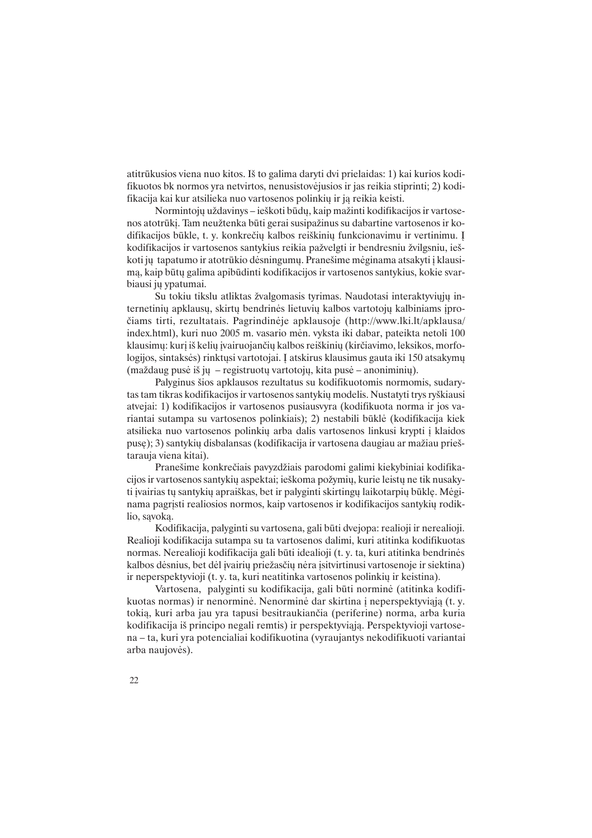atitrûkusios viena nuo kitos. Ið to galima daryti dvi prielaidas: 1) kai kurios kodifikuotos bk normos yra netvirtos, nenusistovëjusios ir jas reikia stiprinti; 2) kodifikacija kai kur atsilieka nuo vartosenos polinkiø ir jà reikia keisti.

Normintojų uždavinys - ieškoti būdų, kaip mažinti kodifikacijos ir vartosenos atotrūkį. Tam neužtenka būti gerai susipažinus su dabartine vartosenos ir kodifikacijos būkle, t. y. konkrečių kalbos reiškinių funkcionavimu ir vertinimu. I kodifikacijos ir vartosenos santykius reikia pažvelgti ir bendresniu žvilgsniu, ieškoti ju tapatumo ir atotrūkio dėsningumų. Pranešime mėginama atsakyti į klausimà, kaip bûtø galima apibûdinti kodifikacijos ir vartosenos santykius, kokie svarbiausi jų ypatumai.

Su tokiu tikslu atliktas žvalgomasis tyrimas. Naudotasi interaktyviųjų internetinių apklausų, skirtų bendrinės lietuvių kalbos vartotojų kalbiniams įproèiams tirti, rezultatais. Pagrindinëje apklausoje (http://www.lki.lt/apklausa/ index.html), kuri nuo 2005 m. vasario mën. vyksta iki dabar, pateikta netoli 100 klausimų: kurį iš kelių įvairuojančių kalbos reiškinių (kirčiavimo, leksikos, morfologijos, sintaksės) rinktųsi vartotojai. Į atskirus klausimus gauta iki 150 atsakymų  $(maždaug pusė iš jų – registruotų vartotojų, kita pusė – anoniminų).$ 

Palyginus ðios apklausos rezultatus su kodifikuotomis normomis, sudarytas tam tikras kodifikacijos ir vartosenos santykiø modelis. Nustatyti trys ryðkiausi atvejai: 1) kodifikacijos ir vartosenos pusiausvyra (kodifikuota norma ir jos variantai sutampa su vartosenos polinkiais); 2) nestabili bûklë (kodifikacija kiek atsilieka nuo vartosenos polinkiø arba dalis vartosenos linkusi krypti á klaidos puse); 3) santykių disbalansas (kodifikacija ir vartosena daugiau ar mažiau prieštarauja viena kitai).

Pranešime konkrečiais pavyzdžiais parodomi galimi kiekybiniai kodifikacijos ir vartosenos santykių aspektai; ieškoma požymių, kurie leistų ne tik nusakyti ivairias tu santykių apraiškas, bet ir palyginti skirtingų laikotarpių būklę. Mėginama pagrįsti realiosios normos, kaip vartosenos ir kodifikacijos santykių rodiklio, savoka.

Kodifikacija, palyginti su vartosena, gali bûti dvejopa: realioji ir nerealioji. Realioji kodifikacija sutampa su ta vartosenos dalimi, kuri atitinka kodifikuotas normas. Nerealioji kodifikacija gali bûti idealioji (t. y. ta, kuri atitinka bendrinës kalbos dėsnius, bet dėl įvairių priežasčių nėra įsitvirtinusi vartosenoje ir siektina) ir neperspektyvioji (t. y. ta, kuri neatitinka vartosenos polinkiø ir keistina).

Vartosena, palyginti su kodifikacija, gali bûti norminë (atitinka kodifikuotas normas) ir nenorminė. Nenorminė dar skirtina į neperspektyviąją (t. y. tokià, kuri arba jau yra tapusi besitraukianèia (periferine) norma, arba kuria kodifikacija ið principo negali remtis) ir perspektyviàjà. Perspektyvioji vartosena – ta, kuri yra potencialiai kodifikuotina (vyraujantys nekodifikuoti variantai arba naujovës).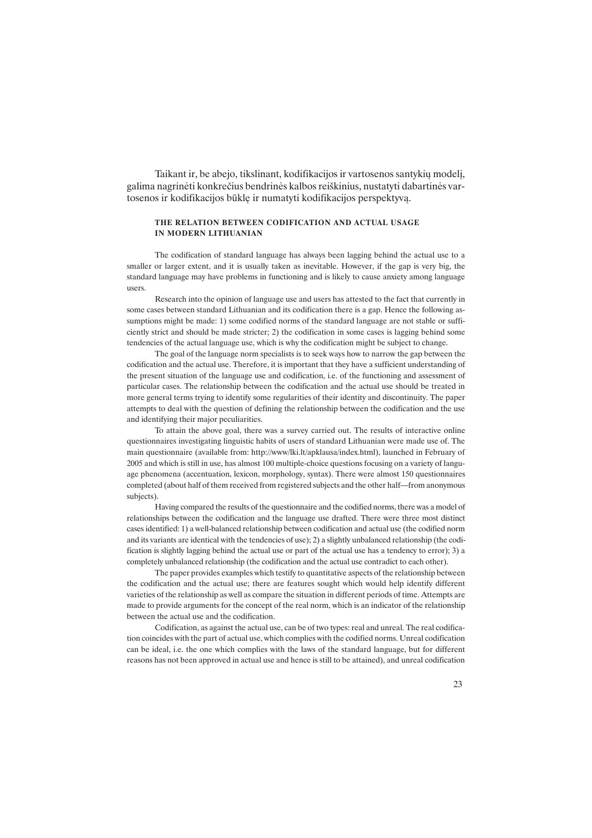Taikant ir, be abejo, tikslinant, kodifikacijos ir vartosenos santykių modelį, galima nagrinëti konkreèius bendrinës kalbos reiðkinius, nustatyti dabartinës vartosenos ir kodifikacijos bûklæ ir numatyti kodifikacijos perspektyvà.

#### THE RELATION BETWEEN CODIFICATION AND ACTUAL USAGE IN MODERN LITHUANIAN

The codification of standard language has always been lagging behind the actual use to a smaller or larger extent, and it is usually taken as inevitable. However, if the gap is very big, the standard language may have problems in functioning and is likely to cause anxiety among language users.

Research into the opinion of language use and users has attested to the fact that currently in some cases between standard Lithuanian and its codification there is a gap. Hence the following assumptions might be made: 1) some codified norms of the standard language are not stable or sufficiently strict and should be made stricter; 2) the codification in some cases is lagging behind some tendencies of the actual language use, which is why the codification might be subject to change.

The goal of the language norm specialists is to seek ways how to narrow the gap between the codification and the actual use. Therefore, it is important that they have a sufficient understanding of the present situation of the language use and codification, i.e. of the functioning and assessment of particular cases. The relationship between the codification and the actual use should be treated in more general terms trying to identify some regularities of their identity and discontinuity. The paper attempts to deal with the question of defining the relationship between the codification and the use and identifying their major peculiarities.

To attain the above goal, there was a survey carried out. The results of interactive online questionnaires investigating linguistic habits of users of standard Lithuanian were made use of. The main questionnaire (available from: http://www/lki.lt/apklausa/index.html), launched in February of 2005 and which is still in use, has almost 100 multiple-choice questions focusing on a variety of language phenomena (accentuation, lexicon, morphology, syntax). There were almost 150 questionnaires completed (about half of them received from registered subjects and the other half-from anonymous subjects).

Having compared the results of the questionnaire and the codified norms, there was a model of relationships between the codification and the language use drafted. There were three most distinct cases identified: 1) a well-balanced relationship between codification and actual use (the codified norm and its variants are identical with the tendencies of use); 2) a slightly unbalanced relationship (the codification is slightly lagging behind the actual use or part of the actual use has a tendency to error); 3) a completely unbalanced relationship (the codification and the actual use contradict to each other).

The paper provides examples which testify to quantitative aspects of the relationship between the codification and the actual use; there are features sought which would help identify different varieties of the relationship as well as compare the situation in different periods of time. Attempts are made to provide arguments for the concept of the real norm, which is an indicator of the relationship between the actual use and the codification.

Codification, as against the actual use, can be of two types: real and unreal. The real codification coincides with the part of actual use, which complies with the codified norms. Unreal codification can be ideal, i.e. the one which complies with the laws of the standard language, but for different reasons has not been approved in actual use and hence is still to be attained), and unreal codification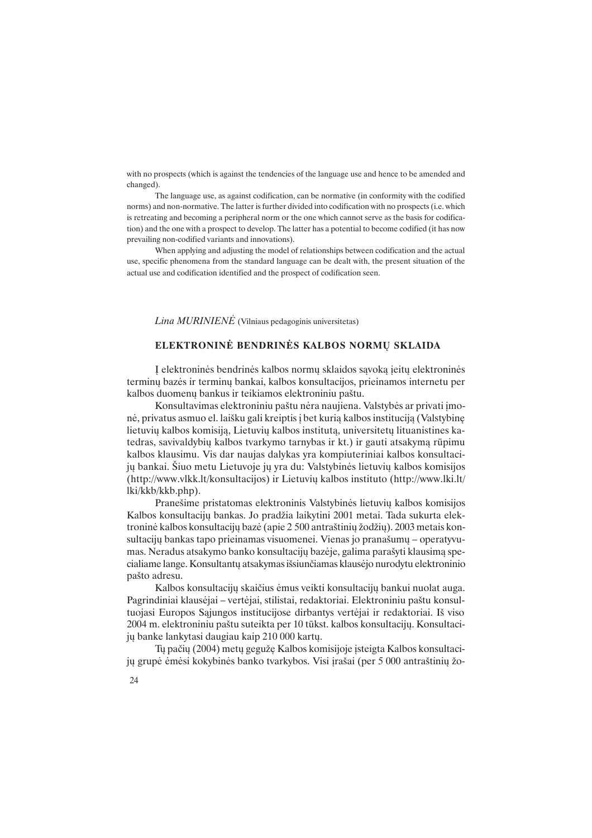with no prospects (which is against the tendencies of the language use and hence to be amended and changed).

The language use, as against codification, can be normative (in conformity with the codified norms) and non-normative. The latter is further divided into codification with no prospects (i.e. which is retreating and becoming a peripheral norm or the one which cannot serve as the basis for codification) and the one with a prospect to develop. The latter has a potential to become codified (it has now prevailing non-codified variants and innovations).

When applying and adjusting the model of relationships between codification and the actual use, specific phenomena from the standard language can be dealt with, the present situation of the actual use and codification identified and the prospect of codification seen.

 $Lina MURINIENÉ$  (Vilniaus pedagoginis universitetas)

## ELEKTRONINĖ BENDRINĖS KALBOS NORMU SKLAIDA

Á elektroninës bendrinës kalbos normø sklaidos sàvokà áeitø elektroninës terminø bazës ir terminø bankai, kalbos konsultacijos, prieinamos internetu per kalbos duomenø bankus ir teikiamos elektroniniu paðtu.

Konsultavimas elektroniniu paštu nėra naujiena. Valstybės ar privati įmonė, privatus asmuo el. laišku gali kreiptis į bet kurią kalbos instituciją (Valstybinę lietuvių kalbos komisiją, Lietuvių kalbos institutą, universitetų lituanistines katedras, savivaldybiø kalbos tvarkymo tarnybas ir kt.) ir gauti atsakymà rûpimu kalbos klausimu. Vis dar naujas dalykas yra kompiuteriniai kalbos konsultacijø bankai. Ðiuo metu Lietuvoje jø yra du: Valstybinës lietuviø kalbos komisijos (http://www.vlkk.lt/konsultacijos) ir Lietuviø kalbos instituto (http://www.lki.lt/ lki/kkb/kkb.php).

Pranešime pristatomas elektroninis Valstybinės lietuvių kalbos komisijos Kalbos konsultacijų bankas. Jo pradžia laikytini 2001 metai. Tada sukurta elektroninė kalbos konsultacijų bazė (apie 2 500 antraštinių žodžių). 2003 metais konsultacijų bankas tapo prieinamas visuomenei. Vienas jo pranašumų – operatyvumas. Neradus atsakymo banko konsultaciju bazėje, galima parašyti klausima specialiame lange. Konsultantø atsakymas iðsiunèiamas klausëjo nurodytu elektroninio paðto adresu.

Kalbos konsultacijø skaièius ëmus veikti konsultacijø bankui nuolat auga. Pagrindiniai klausėjai – vertėjai, stilistai, redaktoriai. Elektroniniu paštu konsultuojasi Europos Sàjungos institucijose dirbantys vertëjai ir redaktoriai. Ið viso 2004 m. elektroniniu paðtu suteikta per 10 tûkst. kalbos konsultacijø. Konsultacijø banke lankytasi daugiau kaip 210 000 kartø.

Tu pačių (2004) metų gegužę Kalbos komisijoje isteigta Kalbos konsultaciju grupė ėmėsi kokybinės banko tvarkybos. Visi irašai (per 5 000 antraštinių žo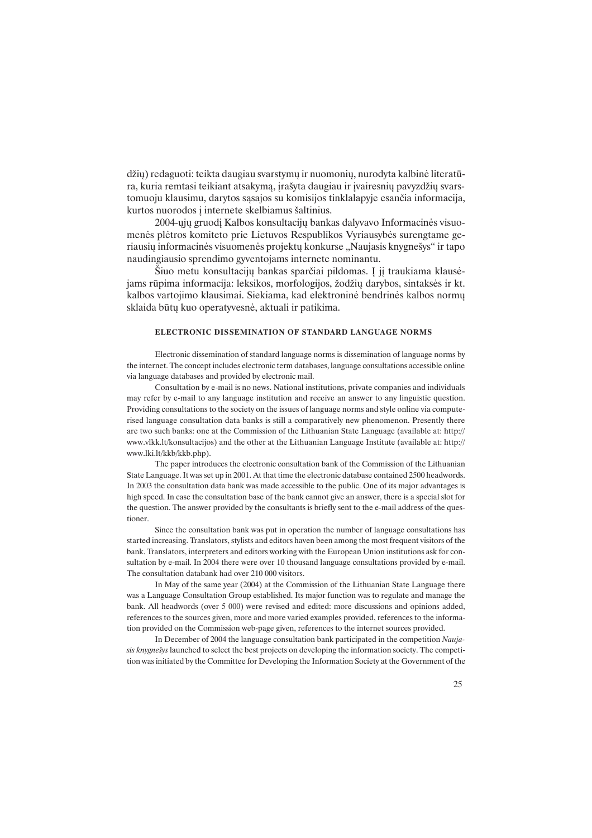džių) redaguoti: teikta daugiau svarstymų ir nuomonių, nurodyta kalbinė literatūra, kuria remtasi teikiant atsakyma, jrašyta daugiau ir jvairesnių pavyzdžių svarstomuoju klausimu, darytos sàsajos su komisijos tinklalapyje esanèia informacija, kurtos nuorodos į internete skelbiamus šaltinius.

2004-øjø gruodá Kalbos konsultacijø bankas dalyvavo Informacinës visuomenës plëtros komiteto prie Lietuvos Respublikos Vyriausybës surengtame geriausių informacinės visuomenės projektų konkurse "Naujasis knygnešys" ir tapo naudingiausio sprendimo gyventojams internete nominantu.

Šiuo metu konsultacijų bankas sparčiai pildomas. Į jį traukiama klausėjams rūpima informacija: leksikos, morfologijos, žodžių darybos, sintaksės ir kt. kalbos vartojimo klausimai. Siekiama, kad elektroninë bendrinës kalbos normø sklaida bûtø kuo operatyvesnë, aktuali ir patikima.

#### ELECTRONIC DISSEMINATION OF STANDARD LANGUAGE NORMS

Electronic dissemination of standard language norms is dissemination of language norms by the internet. The concept includes electronic term databases, language consultations accessible online via language databases and provided by electronic mail.

Consultation by e-mail is no news. National institutions, private companies and individuals may refer by e-mail to any language institution and receive an answer to any linguistic question. Providing consultations to the society on the issues of language norms and style online via computerised language consultation data banks is still a comparatively new phenomenon. Presently there are two such banks: one at the Commission of the Lithuanian State Language (available at: http:// www.vlkk.lt/konsultacijos) and the other at the Lithuanian Language Institute (available at: http:// www.lki.lt/kkb/kkb.php).

The paper introduces the electronic consultation bank of the Commission of the Lithuanian State Language. It was set up in 2001. At that time the electronic database contained 2500 headwords. In 2003 the consultation data bank was made accessible to the public. One of its major advantages is high speed. In case the consultation base of the bank cannot give an answer, there is a special slot for the question. The answer provided by the consultants is briefly sent to the e-mail address of the questioner.

Since the consultation bank was put in operation the number of language consultations has started increasing. Translators, stylists and editors haven been among the most frequent visitors of the bank. Translators, interpreters and editors working with the European Union institutions ask for consultation by e-mail. In 2004 there were over 10 thousand language consultations provided by e-mail. The consultation databank had over 210 000 visitors.

In May of the same year (2004) at the Commission of the Lithuanian State Language there was a Language Consultation Group established. Its major function was to regulate and manage the bank. All headwords (over 5 000) were revised and edited: more discussions and opinions added, references to the sources given, more and more varied examples provided, references to the information provided on the Commission web-page given, references to the internet sources provided.

In December of 2004 the language consultation bank participated in the competition Naujasis knygnešys launched to select the best projects on developing the information society. The competition was initiated by the Committee for Developing the Information Society at the Government of the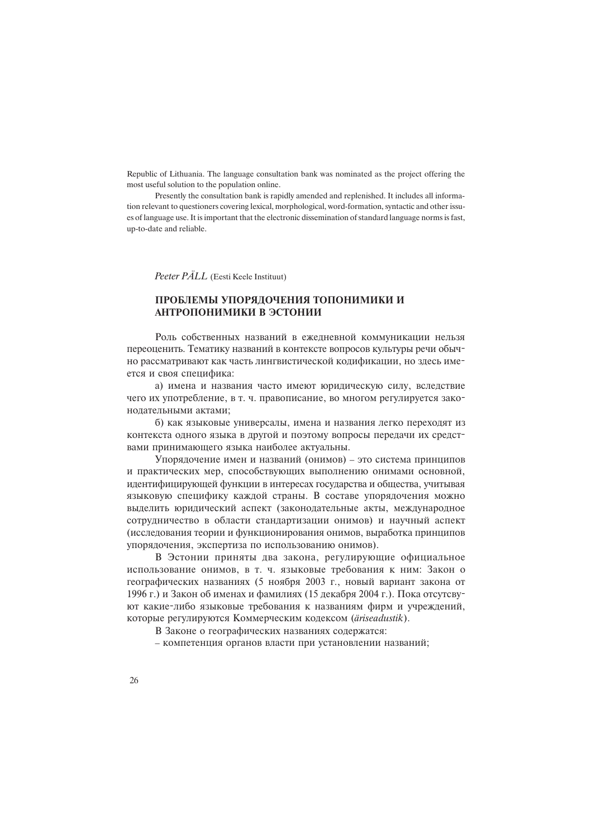Republic of Lithuania. The language consultation bank was nominated as the project offering the most useful solution to the population online.

Presently the consultation bank is rapidly amended and replenished. It includes all information relevant to questioners covering lexical, morphological, word-formation, syntactic and other issues of language use. It is important that the electronic dissemination of standard language norms is fast, up-to-date and reliable.

Peeter PÄLL (Eesti Keele Instituut)

## ПРОБЛЕМЫ УПОРЯДОЧЕНИЯ ТОПОНИМИКИ И АНТРОПОНИМИКИ В ЭСТОНИИ

Роль собственных названий в ежедневной коммуникации нельзя переоценить. Тематику названий в контексте вопросов культуры речи обычно рассматривают как часть лингвистической кодификации, но здесь имеется и своя специфика:

а) имена и названия часто имеют юридическую силу, вследствие чего их употребление, в т. ч. правописание, во многом регулируется законодательными актами;

б) как языковые универсалы, имена и названия легко переходят из контекста одного языка в другой и поэтому вопросы передачи их средствами принимающего языка наиболее актуальны.

Упорядочение имен и названий (онимов) - это система принципов и практических мер, способствующих выполнению онимами основной, идентифицирующей функции в интересах государства и общества, учитывая языковую специфику каждой страны. В составе упорядочения можно вылелить юрилический аспект (законолательные акты, международное сотрудничество в области стандартизации онимов) и научный аспект (исследования теории и функционирования онимов, выработка принципов упорядочения, экспертиза по использованию онимов).

В Эстонии приняты два закона, регулирующие официальное использование онимов, в т. ч. языковые требования к ним: Закон о географических названиях (5 ноября 2003 г., новый вариант закона от 1996 г.) и Закон об именах и фамилиях (15 декабря 2004 г.). Пока отсутсвуют какие-либо языковые требования к названиям фирм и учрежлений. которые регулируются Коммерческим кодексом (äriseadustik).

В Законе о географических названиях содержатся:

– компетенция органов власти при установлении названий;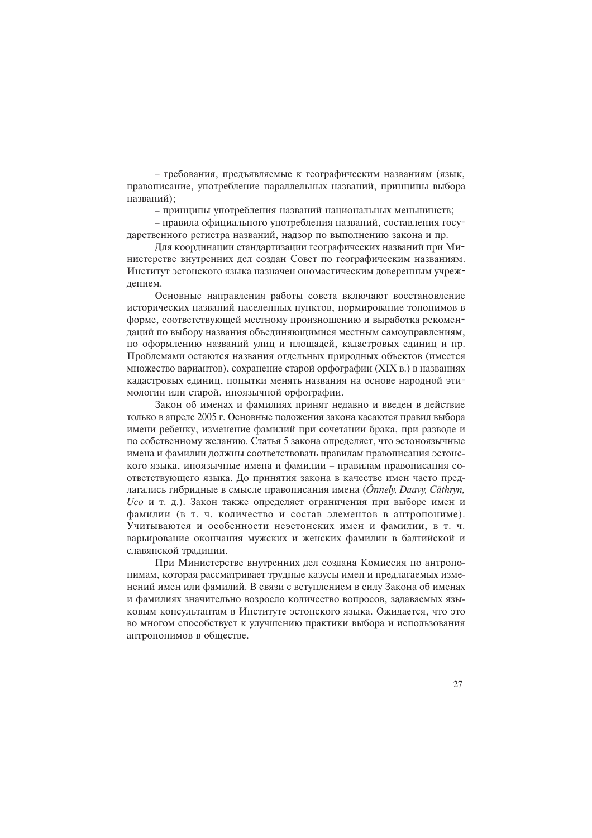– требования, предъявляемые к географическим названиям (язык, правописание, употребление параллельных названий, принципы выбора названий):

- принципы употребления названий национальных меньшинств;

- правила официального употребления названий, составления государственного регистра названий, надзор по выполнению закона и пр.

Для координации стандартизации географических названий при Министерстве внутренних дел создан Совет по географическим названиям. Институт эстонского языка назначен ономастическим доверенным учрежлением.

Основные направления работы совета включают восстановление исторических названий населенных пунктов, нормирование топонимов в форме, соответствующей местному произношению и выработка рекомендаций по выбору названия объединяющимися местным самоуправлениям, по оформлению названий улиц и площадей, кадастровых единиц и пр. Проблемами остаются названия отдельных природных объектов (имеется множество вариантов), сохранение старой орфографии (XIX в.) в названиях каластровых елиниц, попытки менять названия на основе народной этимологии или старой, иноязычной орфографии.

Закон об именах и фамилиях принят недавно и введен в действие только в апреле 2005 г. Основные положения закона касаются правил выбора имени ребенку, изменение фамилий при сочетании брака, при разводе и по собственному желанию. Статья 5 закона определяет, что эстоноязычные имена и фамилии должны соответствовать правилам правописания эстонского языка, иноязычные имена и фамилии – правилам правописания соответствующего языка. До принятия закона в качестве имен часто предлагались гибридные в смысле правописания имена (Önnely, Daavy, Cäthryn,  $U$ со и т. д.). Закон также определяет ограничения при выборе имен и фамилии (в т. ч. количество и состав элементов в антропониме). Учитываются и особенности неэстонских имен и фамилии, в т. ч. варьирование окончания мужских и женских фамилии в балтийской и славянской тралиции.

При Министерстве внутренних дел создана Комиссия по антропонимам, которая рассматривает трудные казусы имен и предлагаемых изменений имен или фамилий. В связи с вступлением в силу Закона об именах и фамилиях значительно возросло количество вопросов, задаваемых языковым консультантам в Институте эстонского языка. Ожидается, что это во многом способствует к улучшению практики выбора и использования антропонимов в обществе.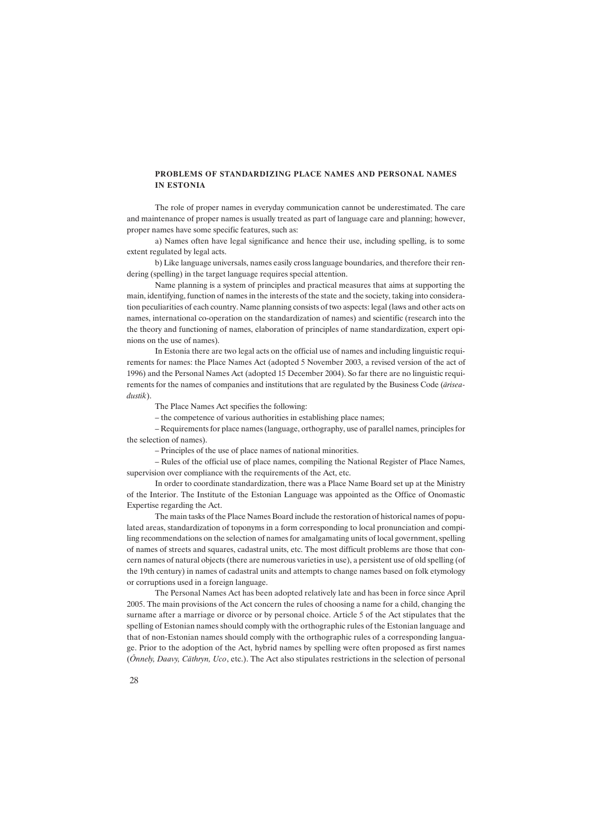#### PROBLEMS OF STANDARDIZING PLACE NAMES AND PERSONAL NAMES IN ESTONIA

The role of proper names in everyday communication cannot be underestimated. The care and maintenance of proper names is usually treated as part of language care and planning; however, proper names have some specific features, such as:

a) Names often have legal significance and hence their use, including spelling, is to some extent regulated by legal acts.

b) Like language universals, names easily cross language boundaries, and therefore their rendering (spelling) in the target language requires special attention.

Name planning is a system of principles and practical measures that aims at supporting the main, identifying, function of names in the interests of the state and the society, taking into consideration peculiarities of each country. Name planning consists of two aspects: legal (laws and other acts on names, international co-operation on the standardization of names) and scientific (research into the the theory and functioning of names, elaboration of principles of name standardization, expert opinions on the use of names).

In Estonia there are two legal acts on the official use of names and including linguistic requirements for names: the Place Names Act (adopted 5 November 2003, a revised version of the act of 1996) and the Personal Names Act (adopted 15 December 2004). So far there are no linguistic requirements for the names of companies and institutions that are regulated by the Business Code (äriseadustik).

The Place Names Act specifies the following:

- the competence of various authorities in establishing place names;

 Requirements for place names (language, orthography, use of parallel names, principles for the selection of names).

Principles of the use of place names of national minorities.

 Rules of the official use of place names, compiling the National Register of Place Names, supervision over compliance with the requirements of the Act, etc.

In order to coordinate standardization, there was a Place Name Board set up at the Ministry of the Interior. The Institute of the Estonian Language was appointed as the Office of Onomastic Expertise regarding the Act.

The main tasks of the Place Names Board include the restoration of historical names of populated areas, standardization of toponyms in a form corresponding to local pronunciation and compiling recommendations on the selection of names for amalgamating units of local government, spelling of names of streets and squares, cadastral units, etc. The most difficult problems are those that concern names of natural objects (there are numerous varieties in use), a persistent use of old spelling (of the 19th century) in names of cadastral units and attempts to change names based on folk etymology or corruptions used in a foreign language.

The Personal Names Act has been adopted relatively late and has been in force since April 2005. The main provisions of the Act concern the rules of choosing a name for a child, changing the surname after a marriage or divorce or by personal choice. Article 5 of the Act stipulates that the spelling of Estonian names should comply with the orthographic rules of the Estonian language and that of non-Estonian names should comply with the orthographic rules of a corresponding language. Prior to the adoption of the Act, hybrid names by spelling were often proposed as first names (Õnnely, Daavy, Cäthryn, Uco, etc.). The Act also stipulates restrictions in the selection of personal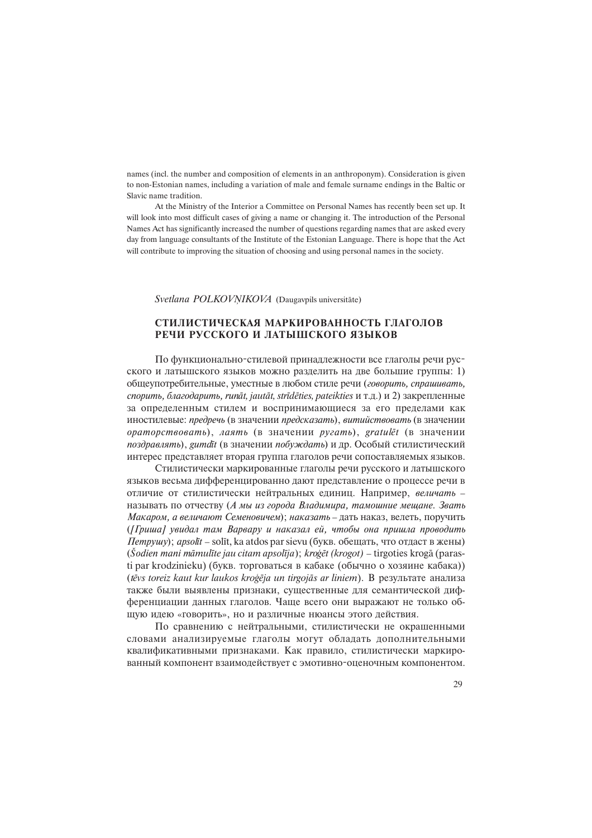names (incl. the number and composition of elements in an anthroponym). Consideration is given to non-Estonian names, including a variation of male and female surname endings in the Baltic or Slavic name tradition.

At the Ministry of the Interior a Committee on Personal Names has recently been set up. It will look into most difficult cases of giving a name or changing it. The introduction of the Personal Names Act has significantly increased the number of questions regarding names that are asked every day from language consultants of the Institute of the Estonian Language. There is hope that the Act will contribute to improving the situation of choosing and using personal names in the society.

Svetlana POLKOVNIKOVA (Daugavpils universitäte)

## СТИЛИСТИЧЕСКАЯ МАРКИРОВАННОСТЬ ГЛАГОЛОВ РЕЧИ РУССКОГО И ЛАТЫШСКОГО ЯЗЫКОВ

По функционально-стилевой принадлежности все глаголы речи русского и латышского языков можно разлелить на две большие группы: 1) общеупотребительные, уместные в любом стиле речи (говорить, спрашивать, спорить, благодарить, runāt, jautāt, strīdēties, pateikties и т.д.) и 2) закрепленные за определенным стилем и воспринимающиеся за его пределами как йностилевые: предречь (в значении предсказать), витийствовать (в значении  $\mathit{opamopcmeoeamb}$ , лаять (в значении pyzamb), gratul $\bar{\mathit{et}}$  (в значении поздравлять), gumdīt (в значении побуждать) и др. Особый стилистический интерес представляет вторая группа глаголов речи сопоставляемых языков.

Стилистически маркированные глаголы речи русского и латышского языков весьма дифференцированно дают представление о процессе речи в отличие от стилистически нейтральных единиц. Например, величать называть по отчеству (А мы из города Владимира, тамошние мещане. Звать Макаром, а величают Семеновичем); наказать - дать наказ, велеть, поручить  $(I$ риша] увидал там Варвару и наказал ей, чтобы она пришла проводить  $\Pi$ empyuu); apsolīt – solīt, ka atdos par sievu (букв. обещать, что отдаст в жены)  $(\mathcal{S}odien \text{ mani } \text{māmulīte jau citam apsolīja}); kroģēt (krogot) - tirgoties krogā (paras$ ti par krodzinieku) (букв. торговаться в кабаке (обычно о хозяине кабака)) (tēvs toreiz kaut kur laukos kroģēja un tirgojās ar liniem). B результате анализа также были выявлены признаки, существенные для семантической дифференциации данных глаголов. Чаще всего они выражают не только общую идею «говорить», но и различные нюансы этого действия.

По сравнению с нейтральными, стилистически не окрашенными словами анализируемые глаголы могут обладать дополнительными квалификативными признаками. Как правило, стилистически маркированный компонент взаимодействует с эмотивно-оценочным компонентом.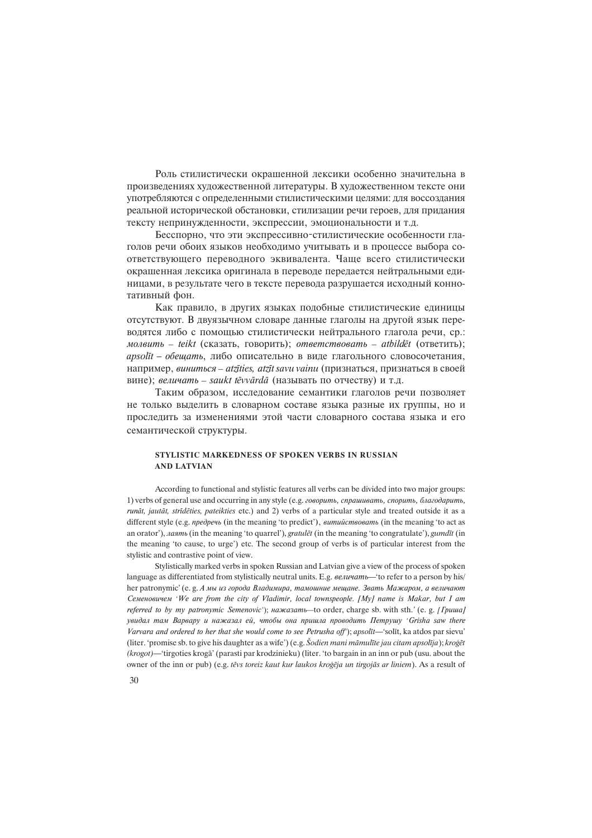Роль стилистически окрашенной лексики особенно значительна в произведениях художественной литературы. В художественном тексте они употребляются с определенными стилистическими целями: для воссоздания реальной исторической обстановки, стилизации речи героев, для придания тексту непринужденности, экспрессии, эмоциональности и т.д.

Бесспорно, что эти экспрессивно-стилистические особенности глаголов речи обоих языков необходимо учитывать и в процессе выбора соответствующего переводного эквивалента. Чаще всего стилистически окрашенная лексика оригинала в переводе передается нейтральными единицами, в результате чего в тексте перевода разрушается исходный коннотативный фон.

Как правило, в других языках подобные стилистические единицы отсутствуют. В двуязычном словаре данные глаголы на другой язык переводятся либо с помощью стилистически нейтрального глагола речи, ср.: молвить – teikt (сказать, говорить); ответствовать – atbildet (ответить);  $apsol$ īt - обещать, либо описательно в виде глагольного словосочетания, например, виниться - atzīties, atzīt savu vainu (признаться, признаться в своей вине); величать – saukt tēvvārdā (называть по отчеству) и т.д.

Таким образом, исследование семантики глаголов речи позволяет не только выделить в словарном составе языка разные их группы, но и проследить за изменениями этой части словарного состава языка и его семантической структуры.

#### STYLISTIC MARKEDNESS OF SPOKEN VERBS IN RUSSIAN AND LATVIAN

According to functional and stylistic features all verbs can be divided into two major groups: 1) verbs of general use and occurring in any style (e.g.  $2080$ umb,  $cnp$ айивать, спорить, благодарить, runât, jautât, strîdçties, pateikties etc.) and 2) verbs of a particular style and treated outside it as a different style (e.g. *npedpeub* (in the meaning 'to predict'), *витийствовать* (in the meaning 'to act as an orator'),  $a$ an (in the meaning 'to quarrel'), gratul $\bar{e}t$  (in the meaning 'to congratulate'), gumdīt (in the meaning to cause, to urge) etc. The second group of verbs is of particular interest from the stylistic and contrastive point of view.

Stylistically marked verbs in spoken Russian and Latvian give a view of the process of spoken language as differentiated from stylistically neutral units. E.g. *величать*—'to refer to a person by his/ her patronymic' (e. g. А мы из города Владимира, тамошние мещане. Звать Мажаром, а величают Семеновичем 'We are from the city of Vladimir, local townspeople. [My] name is Makar, but I am referred to by my patronymic Semenovic');  $a$ a $x$ a $x$ a $x$ am $b$ -to order, charge sb. with sth.' (e. g. [*Гриша*] yeudan mam Bapeapy u нажазал ей, чтобы она пришла проводить Петрушу 'Grisha saw there Varvara and ordered to her that she would come to see Petrusha off'); apsolīt—'solīt, ka atdos par sievu' (liter. 'promise sb. to give his daughter as a wife') (e.g. Sodien mani māmulīte jau citam apsolīja); kroģēt  $(krogot)$ —'tirgoties krogā' (parasti par krodzinieku) (liter. 'to bargain in an inn or pub (usu. about the owner of the inn or pub) (e.g. tēvs toreiz kaut kur laukos kroģēja un tirgojās ar liniem). As a result of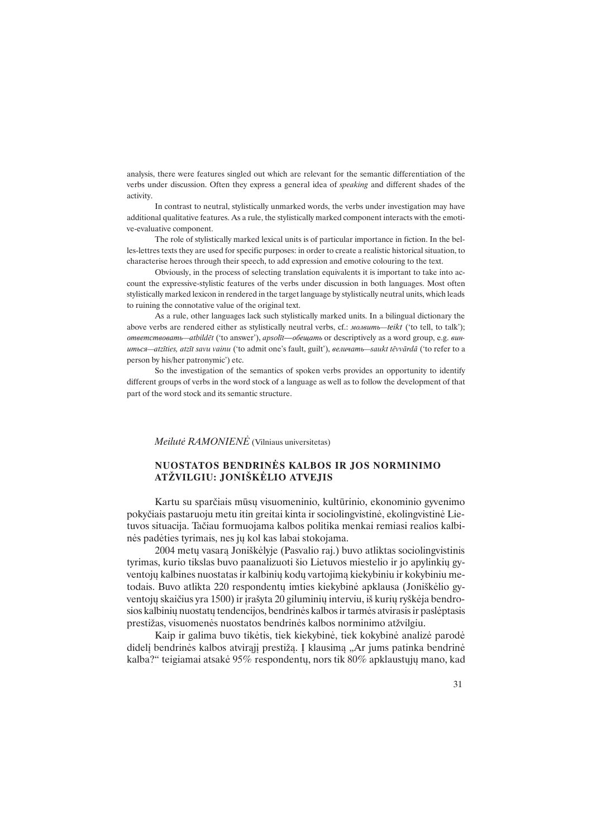analysis, there were features singled out which are relevant for the semantic differentiation of the verbs under discussion. Often they express a general idea of speaking and different shades of the activity.

In contrast to neutral, stylistically unmarked words, the verbs under investigation may have additional qualitative features. As a rule, the stylistically marked component interacts with the emotive-evaluative component.

The role of stylistically marked lexical units is of particular importance in fiction. In the belles-lettres texts they are used for specific purposes: in order to create a realistic historical situation, to characterise heroes through their speech, to add expression and emotive colouring to the text.

Obviously, in the process of selecting translation equivalents it is important to take into account the expressive-stylistic features of the verbs under discussion in both languages. Most often stylistically marked lexicon in rendered in the target language by stylistically neutral units, which leads to ruining the connotative value of the original text.

As a rule, other languages lack such stylistically marked units. In a bilingual dictionary the above verbs are rendered either as stylistically neutral verbs, cf.: *MOABumb—teikt* ('to tell, to talk'); ответствовать—atbildēt ('to answer'), apsolīt—обещать or descriptively as a word group, e.g. винumsca—atzīties, atzīt savu vainu ('to admit one's fault, guilt'), eenuvams—saukt tēvvārdā ('to refer to a person by his/her patronymic) etc.

So the investigation of the semantics of spoken verbs provides an opportunity to identify different groups of verbs in the word stock of a language as well as to follow the development of that part of the word stock and its semantic structure.

## Meilutë RAMONIENË (Vilniaus universitetas)

## NUOSTATOS BENDRINËS KALBOS IR JOS NORMINIMO ATŽVILGIU: JONIŠKĖLIO ATVEJIS

Kartu su sparèiais mûsø visuomeninio, kultûrinio, ekonominio gyvenimo pokyèiais pastaruoju metu itin greitai kinta ir sociolingvistinë, ekolingvistinë Lietuvos situacija. Taèiau formuojama kalbos politika menkai remiasi realios kalbinës padëties tyrimais, nes jø kol kas labai stokojama.

2004 metø vasarà Joniðkëlyje (Pasvalio raj.) buvo atliktas sociolingvistinis tyrimas, kurio tikslas buvo paanalizuoti šio Lietuvos miestelio ir jo apylinkių gyventojø kalbines nuostatas ir kalbiniø kodø vartojimà kiekybiniu ir kokybiniu metodais. Buvo atlikta 220 respondentø imties kiekybinë apklausa (Joniðkëlio gyventojų skaičius yra 1500) ir įrašyta 20 giluminių interviu, iš kurių ryškėja bendrosios kalbinių nuostatų tendencijos, bendrinės kalbos ir tarmės atvirasis ir paslėptasis prestižas, visuomenės nuostatos bendrinės kalbos norminimo atžvilgiu.

Kaip ir galima buvo tikëtis, tiek kiekybinë, tiek kokybinë analizë parodë didelį bendrinės kalbos atvirąjį prestižą. Į klausimą "Ar jums patinka bendrinė kalba?" teigiamai atsakė 95% respondentų, nors tik 80% apklaustųjų mano, kad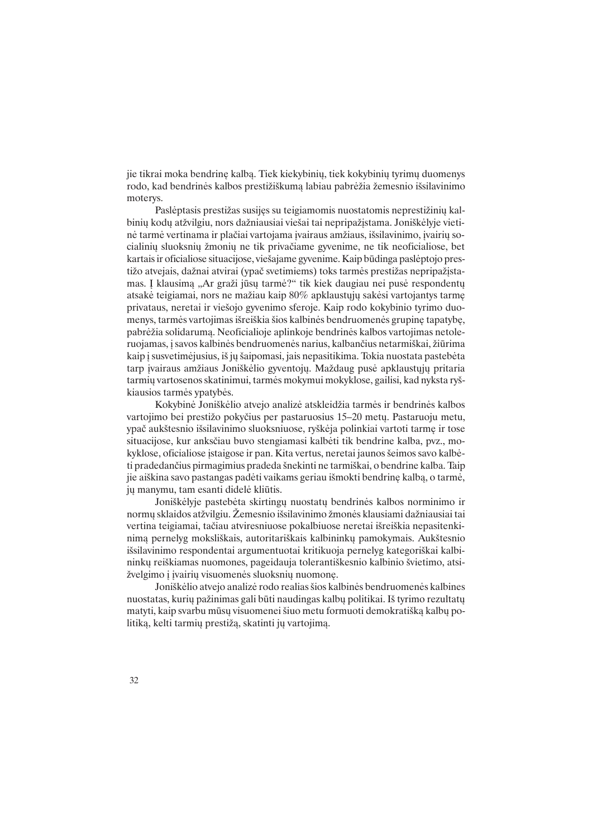jie tikrai moka bendrinę kalbą. Tiek kiekybinių, tiek kokybinių tyrimų duomenys rodo, kad bendrinės kalbos prestižiškumą labiau pabrėžia žemesnio išsilavinimo moterys.

Paslėptasis prestižas susijęs su teigiamomis nuostatomis neprestižinių kalbinių kodų atžvilgiu, nors dažniausiai viešai tai nepripažįstama. Joniškėlyje vietinė tarmė vertinama ir plačiai vartojama įvairaus amžiaus, išsilavinimo, įvairių socialinių sluoksnių žmonių ne tik privačiame gyvenime, ne tik neoficialiose, bet kartais ir oficialiose situacijose, vieðajame gyvenime. Kaip bûdinga paslëptojo prestižo atvejais, dažnai atvirai (ypač svetimiems) toks tarmės prestižas nepripažistamas. Į klausimą "Ar graži jūsų tarmė?" tik kiek daugiau nei pusė respondentų atsakė teigiamai, nors ne mažiau kaip  $80\%$  apklaustųjų sakėsi vartojantys tarmę privataus, neretai ir vieðojo gyvenimo sferoje. Kaip rodo kokybinio tyrimo duomenys, tarmės vartojimas išreiškia šios kalbinės bendruomenės grupinę tapatybę, pabrėžia solidarumą. Neoficialioje aplinkoje bendrinės kalbos vartojimas netoleruojamas, i savos kalbinės bendruomenės narius, kalbančius netarmiškai, žiūrima kaip i susvetimėjusius, iš jų šaipomasi, jais nepasitikima. Tokia nuostata pastebėta tarp ivairaus amžiaus Joniškėlio gyventojų. Maždaug pusė apklaustųjų pritaria tarmiø vartosenos skatinimui, tarmës mokymui mokyklose, gailisi, kad nyksta ryðkiausios tarmës ypatybës.

Kokybinė Joniškėlio atvejo analizė atskleidžia tarmės ir bendrinės kalbos vartojimo bei prestižo pokyčius per pastaruosius 15–20 metų. Pastaruoju metu, ypač aukštesnio išsilavinimo sluoksniuose, ryškėja polinkiai vartoti tarmę ir tose situacijose, kur anksèiau buvo stengiamasi kalbëti tik bendrine kalba, pvz., mokyklose, oficialiose istaigose ir pan. Kita vertus, neretai jaunos šeimos savo kalbėti pradedanèius pirmagimius pradeda ðnekinti ne tarmiðkai, o bendrine kalba. Taip jie aiðkina savo pastangas padëti vaikams geriau iðmokti bendrinæ kalbà, o tarmë, jø manymu, tam esanti didelë kliûtis.

Joniðkëlyje pastebëta skirtingø nuostatø bendrinës kalbos norminimo ir normų sklaidos atžvilgiu. Žemesnio išsilavinimo žmonės klausiami dažniausiai tai vertina teigiamai, tačiau atviresniuose pokalbiuose neretai išreiškia nepasitenkinima pernelyg moksliškais, autoritariškais kalbininkų pamokymais. Aukštesnio išsilavinimo respondentai argumentuotai kritikuoja pernelyg kategoriškai kalbininkø reiðkiamas nuomones, pageidauja tolerantiðkesnio kalbinio ðvietimo, atsižvelgimo į įvairių visuomenės sluoksnių nuomonę.

Joniðkëlio atvejo analizë rodo realias ðios kalbinës bendruomenës kalbines nuostatas, kurių pažinimas gali būti naudingas kalbų politikai. Iš tyrimo rezultatų matyti, kaip svarbu mūsų visuomenei šiuo metu formuoti demokratišką kalbų politiką, kelti tarmių prestižą, skatinti jų vartojimą.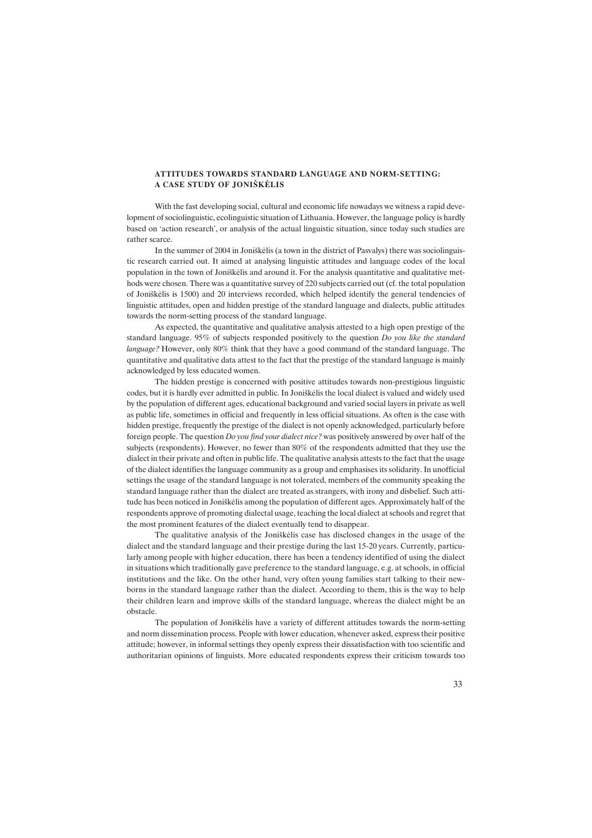#### ATTITUDES TOWARDS STANDARD LANGUAGE AND NORM-SETTING: A CASE STUDY OF JONIŠKĖLIS

With the fast developing social, cultural and economic life nowadays we witness a rapid development of sociolinguistic, ecolinguistic situation of Lithuania. However, the language policy is hardly based on 'action research', or analysis of the actual linguistic situation, since today such studies are rather scarce.

In the summer of 2004 in Joniškėlis (a town in the district of Pasvalys) there was sociolinguistic research carried out. It aimed at analysing linguistic attitudes and language codes of the local population in the town of Joniðkëlis and around it. For the analysis quantitative and qualitative methods were chosen. There was a quantitative survey of 220 subjects carried out (cf. the total population of Joniðkëlis is 1500) and 20 interviews recorded, which helped identify the general tendencies of linguistic attitudes, open and hidden prestige of the standard language and dialects, public attitudes towards the norm-setting process of the standard language.

As expected, the quantitative and qualitative analysis attested to a high open prestige of the standard language. 95% of subjects responded positively to the question Do you like the standard language? However, only 80% think that they have a good command of the standard language. The quantitative and qualitative data attest to the fact that the prestige of the standard language is mainly acknowledged by less educated women.

The hidden prestige is concerned with positive attitudes towards non-prestigious linguistic codes, but it is hardly ever admitted in public. In Joniðkëlis the local dialect is valued and widely used by the population of different ages, educational background and varied social layers in private as well as public life, sometimes in official and frequently in less official situations. As often is the case with hidden prestige, frequently the prestige of the dialect is not openly acknowledged, particularly before foreign people. The question Do you find your dialect nice? was positively answered by over half of the subjects (respondents). However, no fewer than 80% of the respondents admitted that they use the dialect in their private and often in public life. The qualitative analysis attests to the fact that the usage of the dialect identifies the language community as a group and emphasises its solidarity. In unofficial settings the usage of the standard language is not tolerated, members of the community speaking the standard language rather than the dialect are treated as strangers, with irony and disbelief. Such attitude has been noticed in Joniðkëlis among the population of different ages. Approximately half of the respondents approve of promoting dialectal usage, teaching the local dialect at schools and regret that the most prominent features of the dialect eventually tend to disappear.

The qualitative analysis of the Joniðkëlis case has disclosed changes in the usage of the dialect and the standard language and their prestige during the last 15-20 years. Currently, particularly among people with higher education, there has been a tendency identified of using the dialect in situations which traditionally gave preference to the standard language, e.g. at schools, in official institutions and the like. On the other hand, very often young families start talking to their newborns in the standard language rather than the dialect. According to them, this is the way to help their children learn and improve skills of the standard language, whereas the dialect might be an obstacle.

The population of Joniðkëlis have a variety of different attitudes towards the norm-setting and norm dissemination process. People with lower education, whenever asked, express their positive attitude; however, in informal settings they openly express their dissatisfaction with too scientific and authoritarian opinions of linguists. More educated respondents express their criticism towards too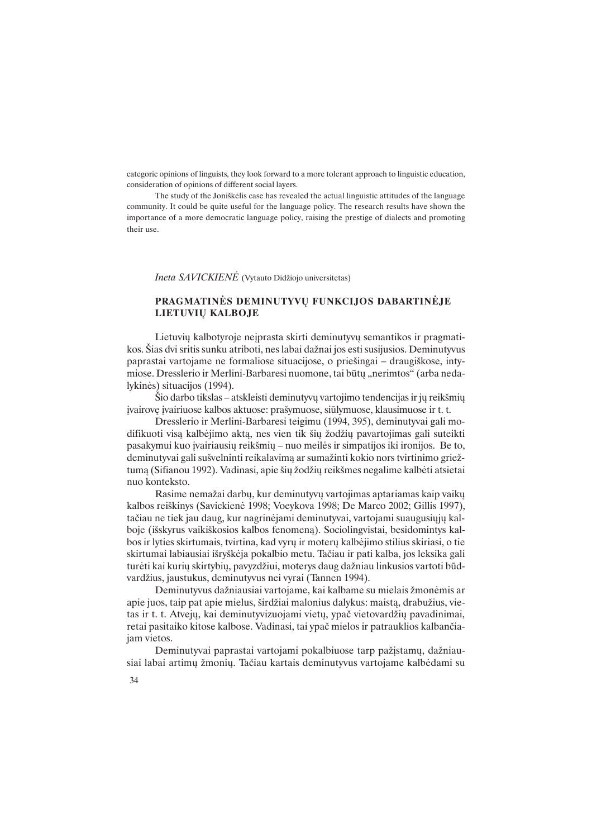categoric opinions of linguists, they look forward to a more tolerant approach to linguistic education, consideration of opinions of different social layers.

The study of the Joniðkëlis case has revealed the actual linguistic attitudes of the language community. It could be quite useful for the language policy. The research results have shown the importance of a more democratic language policy, raising the prestige of dialects and promoting their use.

Ineta SAVICKIENĖ (Vytauto Didžiojo universitetas)

## PRAGMATINĖS DEMINUTYVU FUNKCIJOS DABARTINĖJE LIETUVIØ KALBOJE

Lietuvių kalbotyroje neiprasta skirti deminutyvų semantikos ir pragmatikos. Šias dvi sritis sunku atriboti, nes labai dažnai jos esti susijusios. Deminutyvus paprastai vartojame ne formaliose situacijose, o prieðingai draugiðkose, intymiose. Dresslerio ir Merlini-Barbaresi nuomone, tai būtų "nerimtos" (arba nedalykinës) situacijos (1994).

Šio darbo tikslas – atskleisti deminutyvų vartojimo tendencijas ir jų reikšmių ávairovæ ávairiuose kalbos aktuose: praðymuose, siûlymuose, klausimuose ir t. t.

Dresslerio ir Merlini-Barbaresi teigimu (1994, 395), deminutyvai gali modifikuoti visa kalbėjimo akta, nes vien tik šių žodžių pavartojimas gali suteikti pasakymui kuo įvairiausių reikšmių – nuo meilės ir simpatijos iki ironijos. Be to, deminutyvai gali sušvelninti reikalavima ar sumažinti kokio nors tvirtinimo griežtumą (Sifianou 1992). Vadinasi, apie šių žodžių reikšmes negalime kalbėti atsietai nuo konteksto.

Rasime nemažai darbų, kur deminutyvų vartojimas aptariamas kaip vaikų kalbos reiðkinys (Savickienë 1998; Voeykova 1998; De Marco 2002; Gillis 1997), tačiau ne tiek jau daug, kur nagrinėjami deminutyvai, vartojami suaugusiųjų kalboje (iðskyrus vaikiðkosios kalbos fenomenà). Sociolingvistai, besidomintys kalbos ir lyties skirtumais, tvirtina, kad vyrø ir moterø kalbëjimo stilius skiriasi, o tie skirtumai labiausiai iðryðkëja pokalbio metu. Taèiau ir pati kalba, jos leksika gali turėti kai kurių skirtybių, pavyzdžiui, moterys daug dažniau linkusios vartoti būdvardžius, jaustukus, deminutyvus nei vyrai (Tannen 1994).

Deminutyvus dažniausiai vartojame, kai kalbame su mielais žmonėmis ar apie juos, taip pat apie mielus, širdžiai malonius dalykus: maistą, drabužius, vietas ir t. t. Atvejų, kai deminutyvizuojami vietų, ypač vietovardžių pavadinimai, retai pasitaiko kitose kalbose. Vadinasi, tai ypaè mielos ir patrauklios kalbanèiajam vietos.

Deminutyvai paprastai vartojami pokalbiuose tarp pažistamu, dažniausiai labai artimu žmoniu. Tačiau kartais deminutyvus vartojame kalbėdami su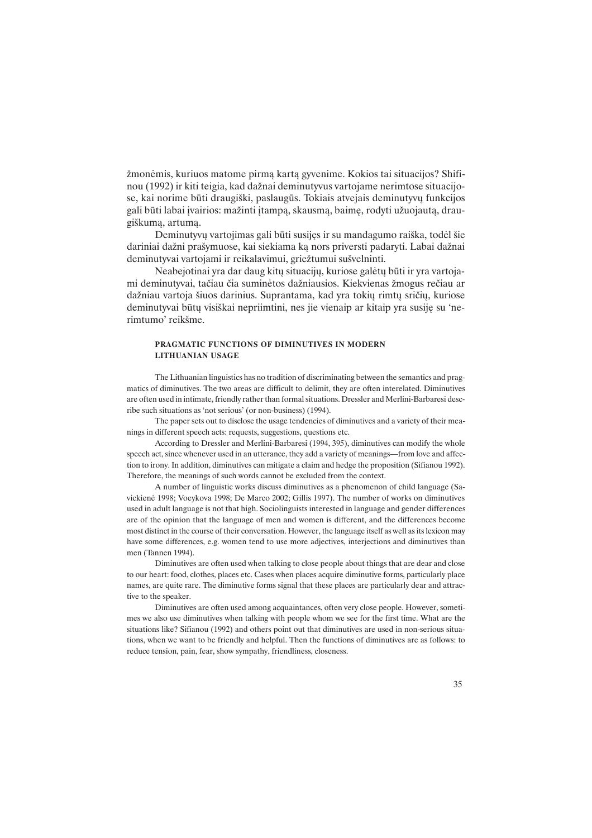žmonėmis, kuriuos matome pirmą kartą gyvenime. Kokios tai situacijos? Shifinou (1992) ir kiti teigia, kad dažnai deminutyvus vartojame nerimtose situacijose, kai norime būti draugiški, paslaugūs. Tokiais atvejais deminutyvų funkcijos gali būti labai įvairios: mažinti įtampą, skausmą, baimę, rodyti užuojautą, draugiðkumà, artumà.

Deminutyvu vartojimas gali būti susijes ir su mandagumo raiška, todėl šie dariniai dažni prašymuose, kai siekiama ka nors priversti padaryti. Labai dažnai deminutyvai vartojami ir reikalavimui, griežtumui sušvelninti.

Neabejotinai yra dar daug kitø situacijø, kuriose galëtø bûti ir yra vartojami deminutyvai, tačiau čia suminėtos dažniausios. Kiekvienas žmogus rečiau ar daþniau vartoja ðiuos darinius. Suprantama, kad yra tokiø rimtø srièiø, kuriose deminutyvai būtų visiškai nepriimtini, nes jie vienaip ar kitaip yra susiję su 'nerimtumo' reikšme.

#### PRAGMATIC FUNCTIONS OF DIMINUTIVES IN MODERN LITHUANIAN USAGE

The Lithuanian linguistics has no tradition of discriminating between the semantics and pragmatics of diminutives. The two areas are difficult to delimit, they are often interelated. Diminutives are often used in intimate, friendly rather than formal situations. Dressler and Merlini-Barbaresi describe such situations as 'not serious' (or non-business) (1994).

The paper sets out to disclose the usage tendencies of diminutives and a variety of their meanings in different speech acts: requests, suggestions, questions etc.

According to Dressler and Merlini-Barbaresi (1994, 395), diminutives can modify the whole speech act, since whenever used in an utterance, they add a variety of meanings—from love and affection to irony. In addition, diminutives can mitigate a claim and hedge the proposition (Sifianou 1992). Therefore, the meanings of such words cannot be excluded from the context.

A number of linguistic works discuss diminutives as a phenomenon of child language (Savickienë 1998; Voeykova 1998; De Marco 2002; Gillis 1997). The number of works on diminutives used in adult language is not that high. Sociolinguists interested in language and gender differences are of the opinion that the language of men and women is different, and the differences become most distinct in the course of their conversation. However, the language itself as well as its lexicon may have some differences, e.g. women tend to use more adjectives, interjections and diminutives than men (Tannen 1994).

Diminutives are often used when talking to close people about things that are dear and close to our heart: food, clothes, places etc. Cases when places acquire diminutive forms, particularly place names, are quite rare. The diminutive forms signal that these places are particularly dear and attractive to the speaker.

Diminutives are often used among acquaintances, often very close people. However, sometimes we also use diminutives when talking with people whom we see for the first time. What are the situations like? Sifianou (1992) and others point out that diminutives are used in non-serious situations, when we want to be friendly and helpful. Then the functions of diminutives are as follows: to reduce tension, pain, fear, show sympathy, friendliness, closeness.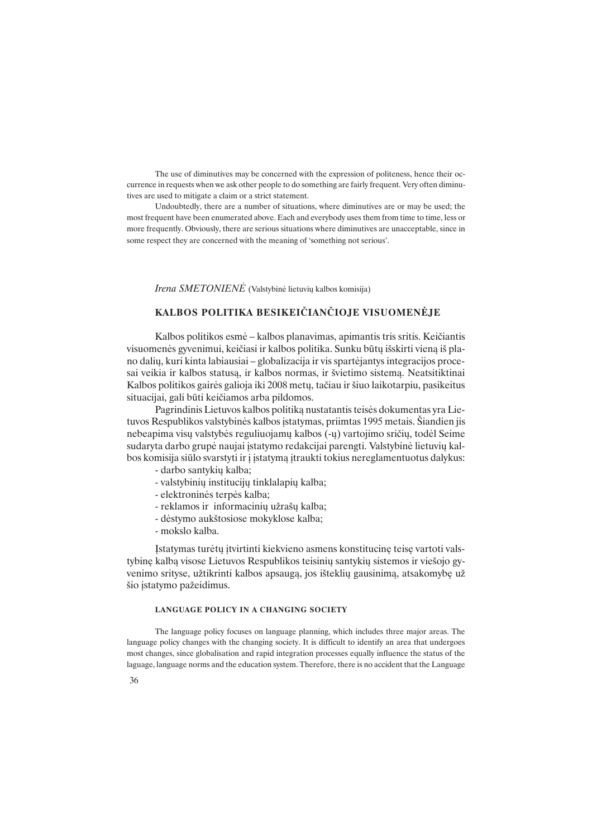The use of diminutives may be concerned with the expression of politeness, hence their occurrence in requests when we ask other people to do something are fairly frequent. Very often diminutives are used to mitigate a claim or a strict statement.

Undoubtedly, there are a number of situations, where diminutives are or may be used; the most frequent have been enumerated above. Each and everybody uses them from time to time, less or more frequently. Obviously, there are serious situations where diminutives are unacceptable, since in some respect they are concerned with the meaning of 'something not serious'.

Irena SMETONIENĖ (Valstybinė lietuvių kalbos komisija)

## KALBOS POLITIKA BESIKEIÈIANÈIOJE VISUOMENËJE

Kalbos politikos esmė – kalbos planavimas, apimantis tris sritis. Keičiantis visuomenës gyvenimui, keièiasi ir kalbos politika. Sunku bûtø iðskirti vienà ið plano daliø, kuri kinta labiausiai globalizacija ir vis spartëjantys integracijos procesai veikia ir kalbos statusą, ir kalbos normas, ir švietimo sistemą. Neatsitiktinai Kalbos politikos gairės galioja iki 2008 metų, tačiau ir šiuo laikotarpiu, pasikeitus situacijai, gali būti keičiamos arba pildomos.

Pagrindinis Lietuvos kalbos politikà nustatantis teisës dokumentas yra Lietuvos Respublikos valstybinės kalbos įstatymas, priimtas 1995 metais. Šiandien jis nebeapima visų valstybės reguliuojamų kalbos (-ų) vartojimo sričių, todėl Seime sudaryta darbo grupė naujai įstatymo redakcijai parengti. Valstybinė lietuvių kalbos komisija siūlo svarstyti ir į įstatymą įtraukti tokius nereglamentuotus dalykus:

- darbo santykiø kalba;
- valstybiniø institucijø tinklalapiø kalba;
- elektroninës terpës kalba;
- reklamos ir informacinių užrašų kalba;
- dëstymo aukðtosiose mokyklose kalba;
- mokslo kalba.

Ástatymas turëtø átvirtinti kiekvieno asmens konstitucinæ teisæ vartoti valstybinę kalbą visose Lietuvos Respublikos teisinių santykių sistemos ir viešojo gyvenimo srityse, užtikrinti kalbos apsaugą, jos išteklių gausinimą, atsakomybę už šio įstatymo pažeidimus.

#### LANGUAGE POLICY IN A CHANGING SOCIETY

The language policy focuses on language planning, which includes three major areas. The language policy changes with the changing society. It is difficult to identify an area that undergoes most changes, since globalisation and rapid integration processes equally influence the status of the laguage, language norms and the education system. Therefore, there is no accident that the Language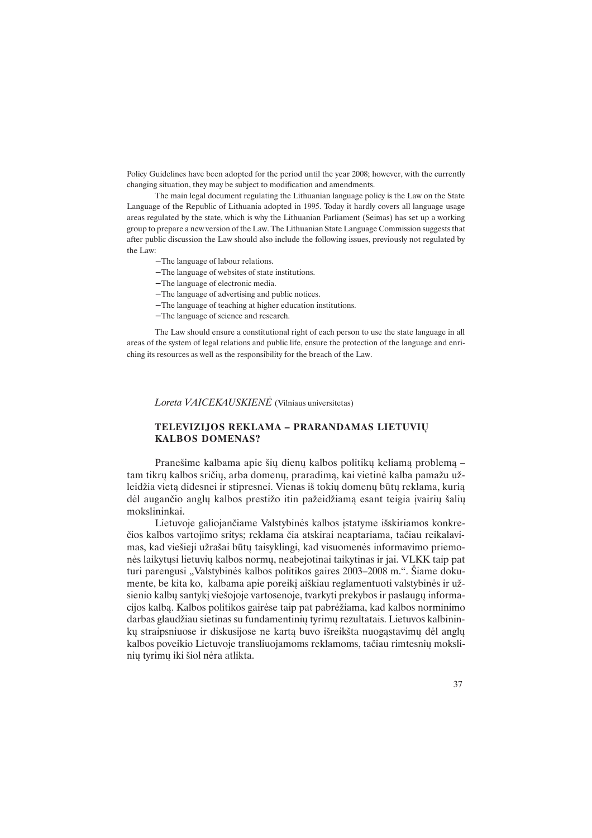Policy Guidelines have been adopted for the period until the year 2008; however, with the currently changing situation, they may be subject to modification and amendments.

The main legal document regulating the Lithuanian language policy is the Law on the State Language of the Republic of Lithuania adopted in 1995. Today it hardly covers all language usage areas regulated by the state, which is why the Lithuanian Parliament (Seimas) has set up a working group to prepare a new version of the Law. The Lithuanian State Language Commission suggests that after public discussion the Law should also include the following issues, previously not regulated by the Law:

- − The language of labour relations.
- − The language of websites of state institutions.
- − The language of electronic media.
- − The language of advertising and public notices.
- − The language of teaching at higher education institutions.
- − The language of science and research.

The Law should ensure a constitutional right of each person to use the state language in all areas of the system of legal relations and public life, ensure the protection of the language and enriching its resources as well as the responsibility for the breach of the Law.

Loreta VAICEKAUSKIENË (Vilniaus universitetas)

### TELEVIZIJOS REKLAMA - PRARANDAMAS LIETUVIŲ KALBOS DOMENAS?

Pranešime kalbama apie šių dienų kalbos politikų keliamą problemą – tam tikrų kalbos sričių, arba domenų, praradimą, kai vietinė kalba pamažu užleidžia vietą didesnei ir stipresnei. Vienas iš tokių domenų būtų reklama, kurią dėl augančio anglų kalbos prestižo itin pažeidžiamą esant teigia įvairių šalių mokslininkai.

Lietuvoje galiojančiame Valstybinės kalbos įstatyme išskiriamos konkreèios kalbos vartojimo sritys; reklama èia atskirai neaptariama, taèiau reikalavimas, kad viešieji užrašai būtų taisyklingi, kad visuomenės informavimo priemonės laikytųsi lietuvių kalbos normų, neabejotinai taikytinas ir jai. VLKK taip pat turi parengusi "Valstybinės kalbos politikos gaires 2003–2008 m.". Šiame dokumente, be kita ko, kalbama apie poreiki aiškiau reglamentuoti valstybinės ir užsienio kalbų santykį viešojoje vartosenoje, tvarkyti prekybos ir paslaugų informacijos kalbą. Kalbos politikos gairėse taip pat pabrėžiama, kad kalbos norminimo darbas glaudžiau sietinas su fundamentinių tyrimų rezultatais. Lietuvos kalbininkų straipsniuose ir diskusijose ne karta buvo išreikšta nuogastavimų dėl anglų kalbos poveikio Lietuvoje transliuojamoms reklamoms, tačiau rimtesnių moksliniø tyrimø iki ðiol nëra atlikta.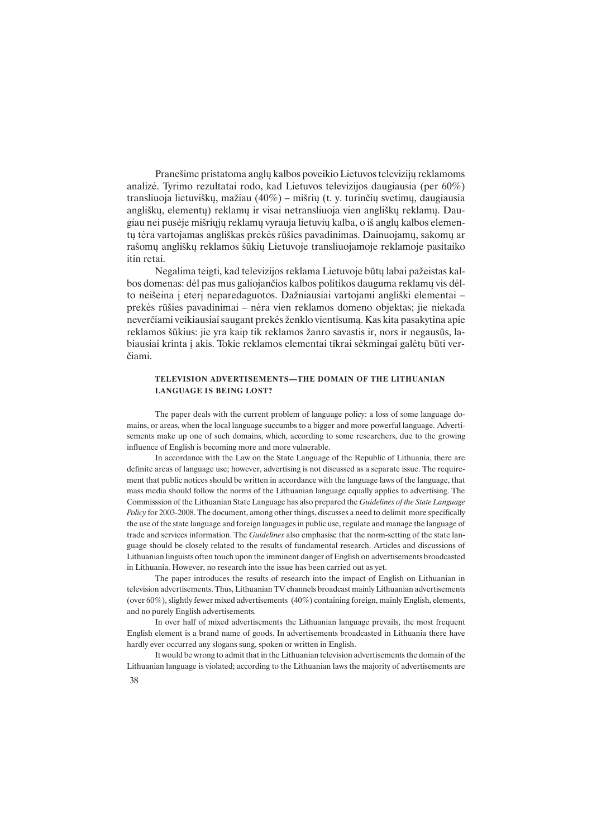Pranešime pristatoma anglų kalbos poveikio Lietuvos televizijų reklamoms analizë. Tyrimo rezultatai rodo, kad Lietuvos televizijos daugiausia (per 60%) transliuoja lietuviškų, mažiau (40%) – mišrių (t. y. turinčių svetimų, daugiausia angliškų, elementų) reklamų ir visai netransliuoja vien angliškų reklamų. Daugiau nei pusëje miðriøjø reklamø vyrauja lietuviø kalba, o ið anglø kalbos elementų tėra vartojamas angliškas prekės rūšies pavadinimas. Dainuojamų, sakomų ar raðomø angliðkø reklamos ðûkiø Lietuvoje transliuojamoje reklamoje pasitaiko itin retai.

Negalima teigti, kad televizijos reklama Lietuvoje būtų labai pažeistas kalbos domenas: dėl pas mus galiojančios kalbos politikos dauguma reklamų vis dėlto neišeina į eterį neparedaguotos. Dažniausiai vartojami angliški elementai prekës rûðies pavadinimai nëra vien reklamos domeno objektas; jie niekada neverčiami veikiausiai saugant prekės ženklo vientisumą. Kas kita pasakytina apie reklamos šūkius: jie yra kaip tik reklamos žanro savastis ir, nors ir negausūs, labiausiai krinta i akis. Tokie reklamos elementai tikrai sėkmingai galėtu būti verèiami.

#### TELEVISION ADVERTISEMENTS-THE DOMAIN OF THE LITHUANIAN LANGUAGE IS BEING LOST?

The paper deals with the current problem of language policy: a loss of some language domains, or areas, when the local language succumbs to a bigger and more powerful language. Advertisements make up one of such domains, which, according to some researchers, due to the growing influence of English is becoming more and more vulnerable.

In accordance with the Law on the State Language of the Republic of Lithuania, there are definite areas of language use; however, advertising is not discussed as a separate issue. The requirement that public notices should be written in accordance with the language laws of the language, that mass media should follow the norms of the Lithuanian language equally applies to advertising. The Commisssion of the Lithuanian State Language has also prepared the Guidelines of the State Language Policy for 2003-2008. The document, among other things, discusses a need to delimit more specifically the use of the state language and foreign languages in public use, regulate and manage the language of trade and services information. The *Guidelines* also emphasise that the norm-setting of the state language should be closely related to the results of fundamental research. Articles and discussions of Lithuanian linguists often touch upon the imminent danger of English on advertisements broadcasted in Lithuania. However, no research into the issue has been carried out as yet.

The paper introduces the results of research into the impact of English on Lithuanian in television advertisements. Thus, Lithuanian TV channels broadcast mainly Lithuanian advertisements (over 60%), slightly fewer mixed advertisements (40%) containing foreign, mainly English, elements, and no purely English advertisements.

In over half of mixed advertisements the Lithuanian language prevails, the most frequent English element is a brand name of goods. In advertisements broadcasted in Lithuania there have hardly ever occurred any slogans sung, spoken or written in English.

38 It would be wrong to admit that in the Lithuanian television advertisements the domain of the Lithuanian language is violated; according to the Lithuanian laws the majority of advertisements are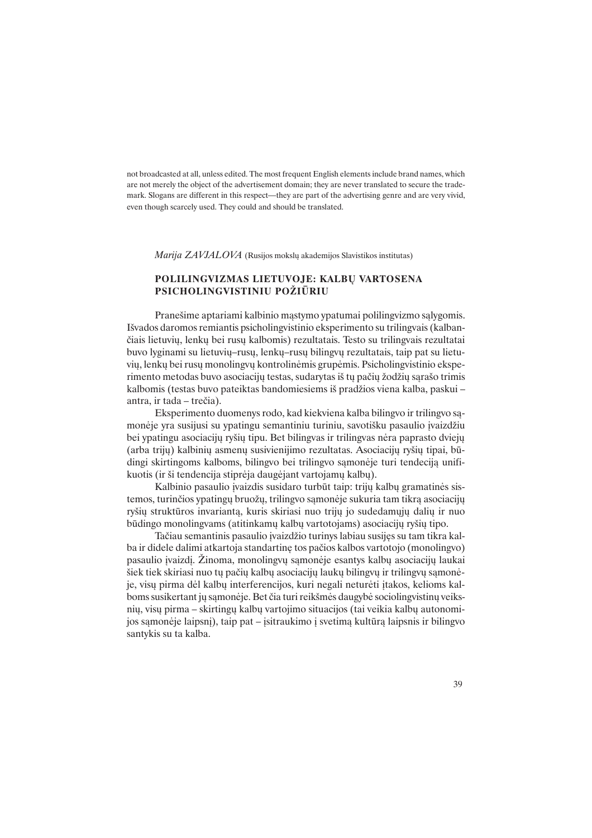not broadcasted at all, unless edited. The most frequent English elements include brand names, which are not merely the object of the advertisement domain; they are never translated to secure the trademark. Slogans are different in this respect—they are part of the advertising genre and are very vivid, even though scarcely used. They could and should be translated.

Marija ZAVJALOVA (Rusijos mokslų akademijos Slavistikos institutas)

#### POLILINGVIZMAS LIETUVOJE: KALBU VARTOSENA PSICHOLINGVISTINIU POŽIŪRIU

Praneðime aptariami kalbinio màstymo ypatumai polilingvizmo sàlygomis. Iðvados daromos remiantis psicholingvistinio eksperimento su trilingvais (kalbanèiais lietuviø, lenkø bei rusø kalbomis) rezultatais. Testo su trilingvais rezultatai buvo lyginami su lietuvių–rusų, lenkų–rusų bilingvų rezultatais, taip pat su lietuviø, lenkø bei rusø monolingvø kontrolinëmis grupëmis. Psicholingvistinio eksperimento metodas buvo asociaciju testas, sudarytas iš tu pačių žodžių sarašo trimis kalbomis (testas buvo pateiktas bandomiesiems iš pradžios viena kalba, paskui – antra, ir tada – trečia).

Eksperimento duomenys rodo, kad kiekviena kalba bilingvo ir trilingvo sàmonėje yra susijusi su ypatingu semantiniu turiniu, savotišku pasaulio įvaizdžiu bei ypatingu asociacijø ryðiø tipu. Bet bilingvas ir trilingvas nëra paprasto dviejø (arba trijø) kalbiniø asmenø susivienijimo rezultatas. Asociacijø ryðiø tipai, bûdingi skirtingoms kalboms, bilingvo bei trilingvo samonėje turi tendeciją unifikuotis (ir ši tendencija stiprėja daugėjant vartojamu kalbų).

Kalbinio pasaulio įvaizdis susidaro turbūt taip: trijų kalbų gramatinės sistemos, turinčios ypatingų bruožų, trilingvo sąmonėje sukuria tam tikrą asociacijų ryšių struktūros invariantą, kuris skiriasi nuo trijų jo sudedamųjų dalių ir nuo bûdingo monolingvams (atitinkamø kalbø vartotojams) asociacijø ryðiø tipo.

Tačiau semantinis pasaulio įvaizdžio turinys labiau susijęs su tam tikra kalba ir didele dalimi atkartoja standartinæ tos paèios kalbos vartotojo (monolingvo) pasaulio įvaizdį. Žinoma, monolingvų sąmonėje esantys kalbų asociacijų laukai šiek tiek skiriasi nuo tų pačių kalbų asociacijų laukų bilingvų ir trilingvų samonėje, visų pirma dėl kalbų interferencijos, kuri negali neturėti įtakos, kelioms kalboms susikertant jų sąmonėje. Bet čia turi reikšmės daugybė sociolingvistinų veiksnių, visų pirma – skirtingų kalbų vartojimo situacijos (tai veikia kalbų autonomijos samonėje laipsni), taip pat – isitraukimo į svetimą kultūrą laipsnis ir bilingvo santykis su ta kalba.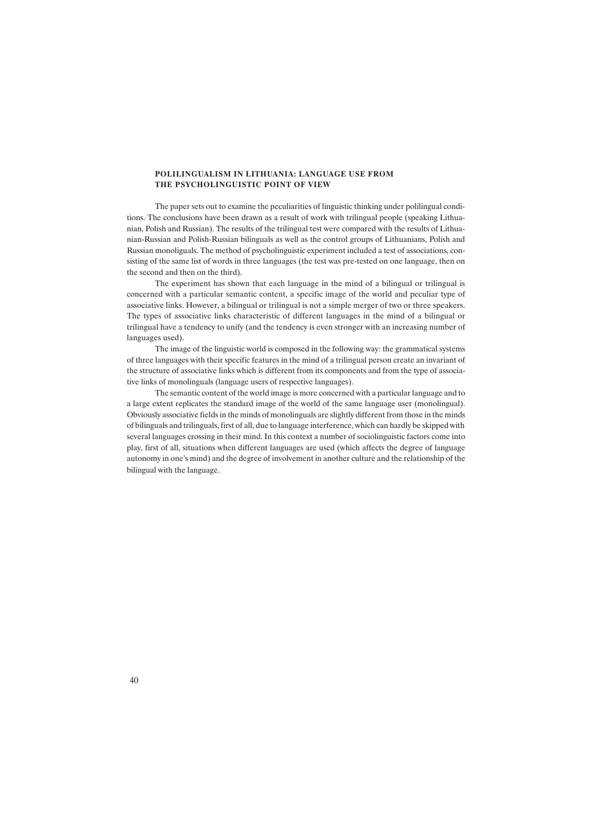#### POLILINGUALISM IN LITHUANIA: LANGUAGE USE FROM THE PSYCHOLINGUISTIC POINT OF VIEW

The paper sets out to examine the peculiarities of linguistic thinking under polilingual conditions. The conclusions have been drawn as a result of work with trilingual people (speaking Lithuanian, Polish and Russian). The results of the trilingual test were compared with the results of Lithuanian-Russian and Polish-Russian bilinguals as well as the control groups of Lithuanians, Polish and Russian monoliguals. The method of psycholinguistic experiment included a test of associations, consisting of the same list of words in three languages (the test was pre-tested on one language, then on the second and then on the third).

The experiment has shown that each language in the mind of a bilingual or trilingual is concerned with a particular semantic content, a specific image of the world and peculiar type of associative links. However, a bilingual or trilingual is not a simple merger of two or three speakers. The types of associative links characteristic of different languages in the mind of a bilingual or trilingual have a tendency to unify (and the tendency is even stronger with an increasing number of languages used).

The image of the linguistic world is composed in the following way: the grammatical systems of three languages with their specific features in the mind of a trilingual person create an invariant of the structure of associative links which is different from its components and from the type of associative links of monolinguals (language users of respective languages).

The semantic content of the world image is more concerned with a particular language and to a large extent replicates the standard image of the world of the same language user (monolingual). Obviously associative fields in the minds of monolinguals are slightly different from those in the minds of bilinguals and trilinguals, first of all, due to language interference, which can hardly be skipped with several languages crossing in their mind. In this context a number of sociolinguistic factors come into play, first of all, situations when different languages are used (which affects the degree of language autonomy in one's mind) and the degree of involvement in another culture and the relationship of the bilingual with the language.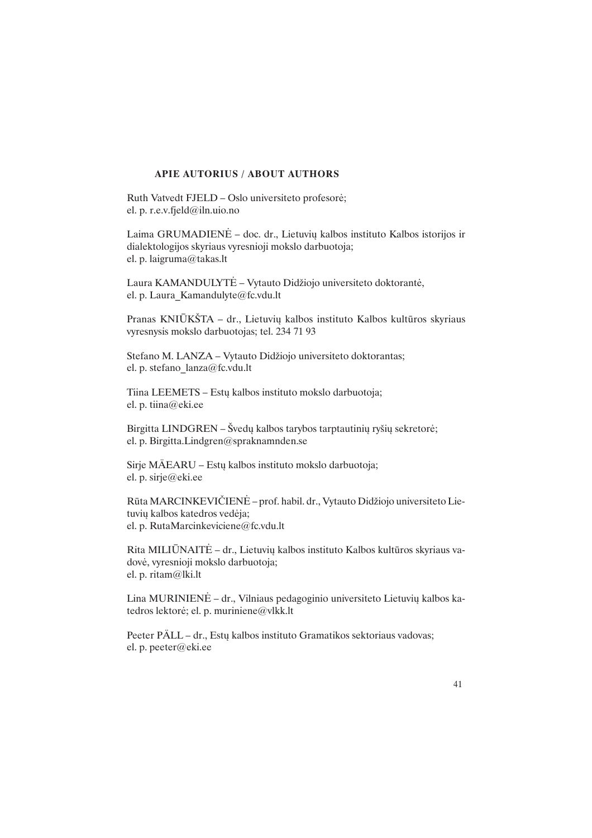#### APIE AUTORIUS / ABOUT AUTHORS

Ruth Vatvedt FJELD – Oslo universiteto profesorë; el. p. r.e.v.fjeld@iln.uio.no

Laima GRUMADIENĖ – doc. dr., Lietuvių kalbos instituto Kalbos istorijos ir dialektologijos skyriaus vyresnioji mokslo darbuotoja; el. p. laigruma@takas.lt

Laura KAMANDULYTĖ - Vytauto Didžiojo universiteto doktorantė, el. p. Laura\_Kamandulyte@fc.vdu.lt

Pranas KNIŪKŠTA – dr., Lietuvių kalbos instituto Kalbos kultūros skyriaus vyresnysis mokslo darbuotojas; tel. 234 71 93

Stefano M. LANZA - Vytauto Didžiojo universiteto doktorantas; el. p. stefano\_lanza@fc.vdu.lt

Tiina LEEMETS – Estų kalbos instituto mokslo darbuotoja; el. p. tiina@eki.ee

Birgitta LINDGREN – Švedų kalbos tarybos tarptautinių ryšių sekretorė; el. p. Birgitta.Lindgren@spraknamnden.se

Sirje MÄEARU - Estų kalbos instituto mokslo darbuotoja; el. p. sirje@eki.ee

Rūta MARCINKEVIČIENĖ - prof. habil. dr., Vytauto Didžiojo universiteto Lietuviø kalbos katedros vedëja; el. p. RutaMarcinkeviciene@fc.vdu.lt

Rita MILIŪNAITĖ – dr., Lietuvių kalbos instituto Kalbos kultūros skyriaus vadovë, vyresnioji mokslo darbuotoja; el. p. ritam@lki.lt

Lina MURINIENĖ - dr., Vilniaus pedagoginio universiteto Lietuvių kalbos katedros lektorë; el. p. muriniene@vlkk.lt

Peeter PÄLL – dr., Estų kalbos instituto Gramatikos sektoriaus vadovas; el. p. peeter@eki.ee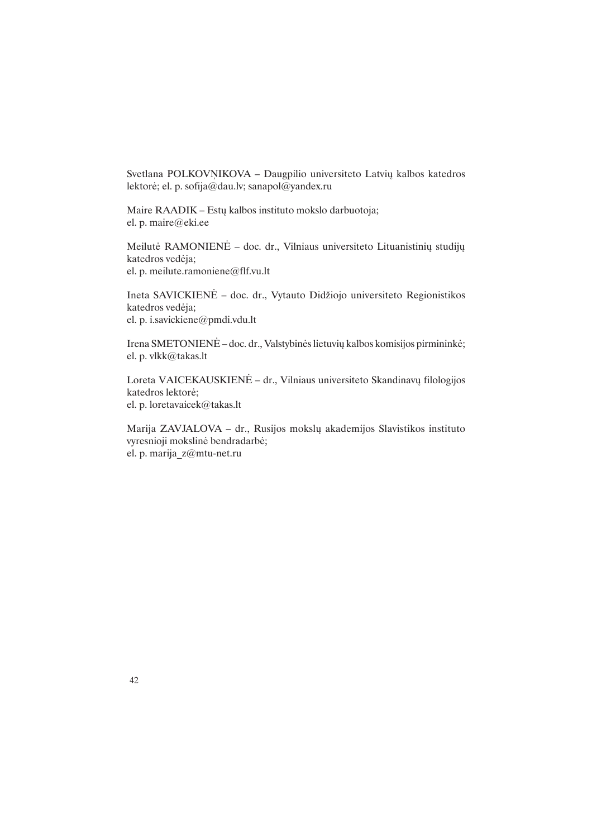Svetlana POLKOVŅIKOVA - Daugpilio universiteto Latvių kalbos katedros lektorë; el. p. sofija@dau.lv; sanapol@yandex.ru

Maire RAADIK - Estų kalbos instituto mokslo darbuotoja; el. p. maire@eki.ee

Meilutė RAMONIENĖ - doc. dr., Vilniaus universiteto Lituanistinių studijų katedros vedëja; el. p. meilute.ramoniene@flf.vu.lt

Ineta SAVICKIENĖ – doc. dr., Vytauto Didžiojo universiteto Regionistikos katedros vedëja; el. p. i.savickiene@pmdi.vdu.lt

Irena SMETONIENĖ – doc. dr., Valstybinės lietuvių kalbos komisijos pirmininkė; el. p. vlkk@takas.lt

Loreta VAICEKAUSKIENĖ – dr., Vilniaus universiteto Skandinavų filologijos katedros lektorë; el. p. loretavaicek@takas.lt

Marija ZAVJALOVA - dr., Rusijos mokslų akademijos Slavistikos instituto vyresnioji mokslinë bendradarbë; el. p. marija\_z@mtu-net.ru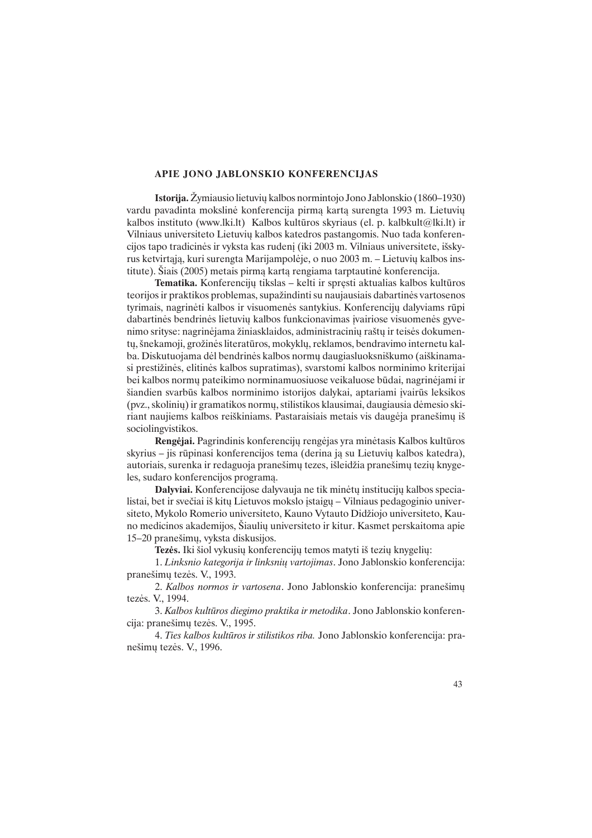#### APIE JONO JABLONSKIO KONFERENCIJAS

Istorija. Žymiausio lietuvių kalbos normintojo Jono Jablonskio (1860–1930) vardu pavadinta mokslinė konferencija pirmą kartą surengta 1993 m. Lietuvių kalbos instituto (www.lki.lt) Kalbos kultûros skyriaus (el. p. kalbkult@lki.lt) ir Vilniaus universiteto Lietuviø kalbos katedros pastangomis. Nuo tada konferencijos tapo tradicinės ir vyksta kas rudenį (iki 2003 m. Vilniaus universitete, išskyrus ketvirtaja, kuri surengta Marijampolėje, o nuo 2003 m. – Lietuvių kalbos institute). Ðiais (2005) metais pirmà kartà rengiama tarptautinë konferencija.

Tematika. Konferencijų tikslas - kelti ir spręsti aktualias kalbos kultūros teorijos ir praktikos problemas, supažindinti su naujausiais dabartinės vartosenos tyrimais, nagrinëti kalbos ir visuomenës santykius. Konferencijø dalyviams rûpi dabartinës bendrinës lietuvių kalbos funkcionavimas įvairiose visuomenės gyvenimo srityse: nagrinėjama žiniasklaidos, administracinių raštų ir teisės dokumentu, šnekamoji, grožinės literatūros, mokyklų, reklamos, bendravimo internetu kalba. Diskutuojama dėl bendrinės kalbos normų daugiasluoksniškumo (aiškinamasi prestižinės, elitinės kalbos supratimas), svarstomi kalbos norminimo kriterijai bei kalbos normø pateikimo norminamuosiuose veikaluose bûdai, nagrinëjami ir šiandien svarbūs kalbos norminimo istorijos dalykai, aptariami įvairūs leksikos (pvz., skoliniø) ir gramatikos normø, stilistikos klausimai, daugiausia dëmesio skiriant naujiems kalbos reiškiniams. Pastaraisiais metais vis daugėja pranešimų iš sociolingvistikos.

Rengëjai. Pagrindinis konferencijø rengëjas yra minëtasis Kalbos kultûros skyrius – jis rūpinasi konferencijos tema (derina ja su Lietuvių kalbos katedra), autoriais, surenka ir redaguoja pranešimų tezes, išleidžia pranešimų tezių knygeles, sudaro konferencijos programà.

Dalyviai. Konferencijose dalyvauja ne tik minėtų institucijų kalbos specialistai, bet ir svečiai iš kitų Lietuvos mokslo įstaigų – Vilniaus pedagoginio universiteto, Mykolo Romerio universiteto, Kauno Vytauto Didžiojo universiteto, Kauno medicinos akademijos, Ðiauliø universiteto ir kitur. Kasmet perskaitoma apie 15-20 pranešimų, vyksta diskusijos.

Tezės. Iki šiol vykusių konferencijų temos matyti iš tezių knygelių:

1. Linksnio kategorija ir linksnių vartojimas. Jono Jablonskio konferencija: praneðimø tezës. V., 1993.

2. Kalbos normos ir vartosena. Jono Jablonskio konferencija: pranešimų tezës. V., 1994.

3. Kalbos kultûros diegimo praktika ir metodika. Jono Jablonskio konferencija: praneðimø tezës. V., 1995.

4. Ties kalbos kultûros ir stilistikos riba. Jono Jablonskio konferencija: praneðimø tezës. V., 1996.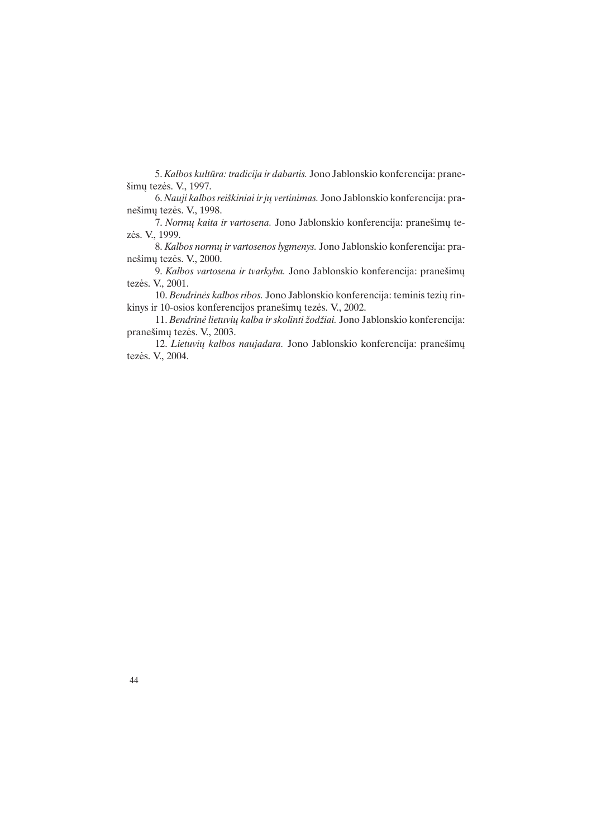5. Kalbos kultûra: tradicija ir dabartis. Jono Jablonskio konferencija: praneðimø tezës. V., 1997.

6. Nauji kalbos reiškiniai ir jų vertinimas. Jono Jablonskio konferencija: praneðimø tezës. V., 1998.

7. Normų kaita ir vartosena. Jono Jablonskio konferencija: pranešimų tezës. V., 1999.

8. Kalbos normų ir vartosenos lygmenys. Jono Jablonskio konferencija: praneðimø tezës. V., 2000.

9. Kalbos vartosena ir tvarkyba. Jono Jablonskio konferencija: pranešimų tezës. V., 2001.

10. Bendrinės kalbos ribos. Jono Jablonskio konferencija: teminis tezių rinkinys ir 10-osios konferencijos pranešimų tezės. V., 2002.

11. Bendrinė lietuvių kalba ir skolinti žodžiai. Jono Jablonskio konferencija: praneðimø tezës. V., 2003.

12. Lietuvių kalbos naujadara. Jono Jablonskio konferencija: pranešimų tezës. V., 2004.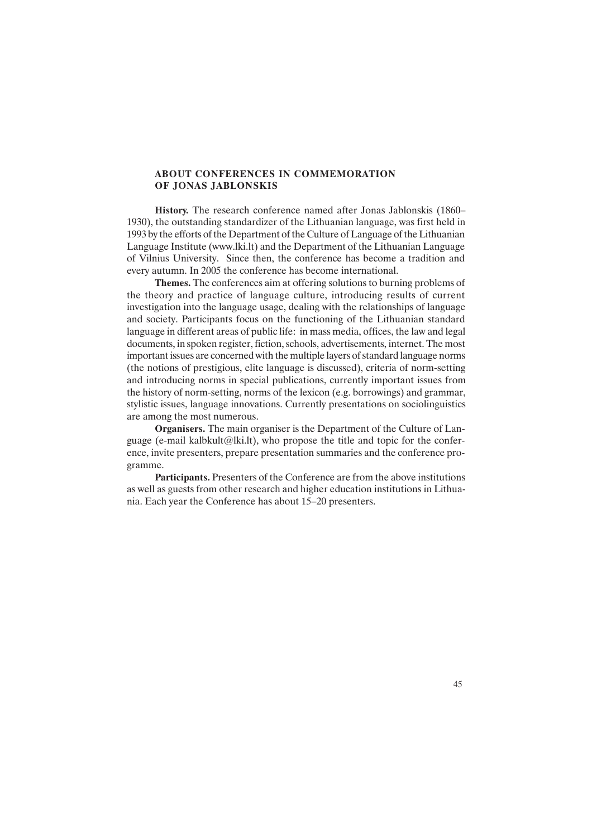## ABOUT CONFERENCES IN COMMEMORATION OF JONAS JABLONSKIS

History. The research conference named after Jonas Jablonskis (1860 1930), the outstanding standardizer of the Lithuanian language, was first held in 1993 by the efforts of the Department of the Culture of Language of the Lithuanian Language Institute (www.lki.lt) and the Department of the Lithuanian Language of Vilnius University. Since then, the conference has become a tradition and every autumn. In 2005 the conference has become international.

Themes. The conferences aim at offering solutions to burning problems of the theory and practice of language culture, introducing results of current investigation into the language usage, dealing with the relationships of language and society. Participants focus on the functioning of the Lithuanian standard language in different areas of public life: in mass media, offices, the law and legal documents, in spoken register, fiction, schools, advertisements, internet. The most important issues are concerned with the multiple layers of standard language norms (the notions of prestigious, elite language is discussed), criteria of norm-setting and introducing norms in special publications, currently important issues from the history of norm-setting, norms of the lexicon (e.g. borrowings) and grammar, stylistic issues, language innovations. Currently presentations on sociolinguistics are among the most numerous.

Organisers. The main organiser is the Department of the Culture of Language (e-mail kalbkult@lki.lt), who propose the title and topic for the conference, invite presenters, prepare presentation summaries and the conference programme.

Participants. Presenters of the Conference are from the above institutions as well as guests from other research and higher education institutions in Lithuania. Each year the Conference has about 15–20 presenters.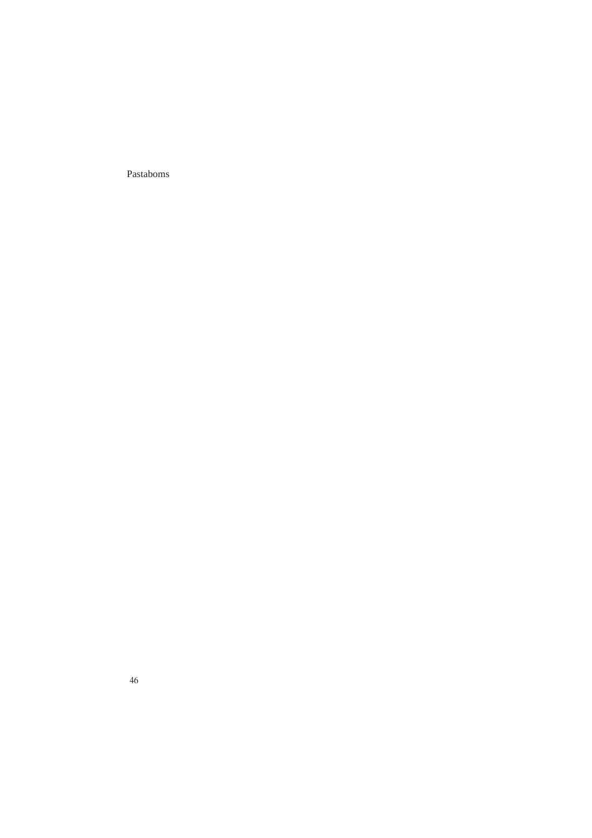Pastaboms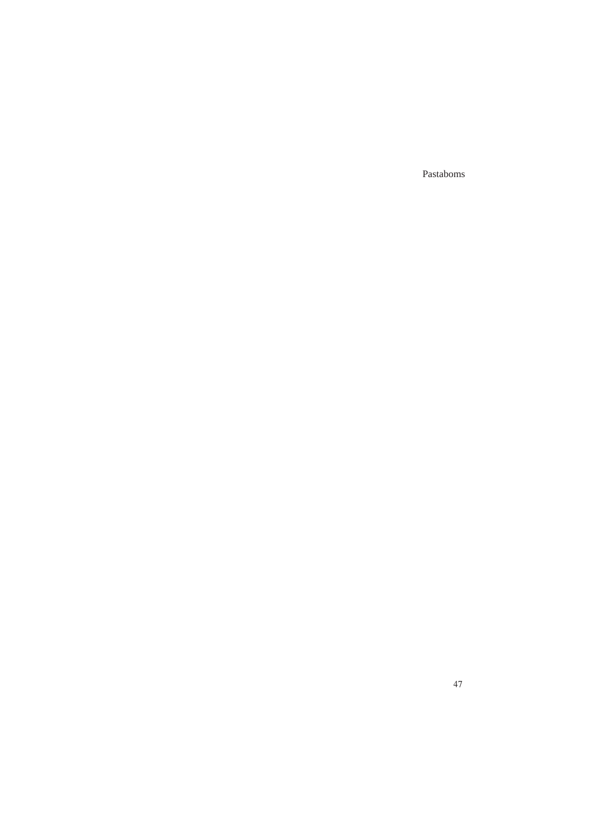Pastaboms